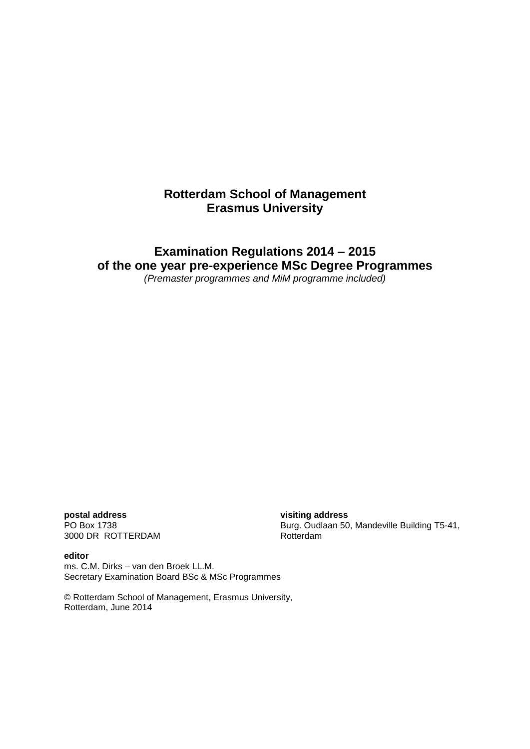# **Rotterdam School of Management Erasmus University**

# **Examination Regulations 2014 – 2015 of the one year pre-experience MSc Degree Programmes**

*(Premaster programmes and MiM programme included)*

**postal address visiting address** 3000 DR ROTTERDAM

PO Box 1738 Burg. Oudlaan 50, Mandeville Building T5-41, 3000 DR ROTTERDAM

**editor** ms. C.M. Dirks – van den Broek LL.M. Secretary Examination Board BSc & MSc Programmes

© Rotterdam School of Management, Erasmus University, Rotterdam, June 2014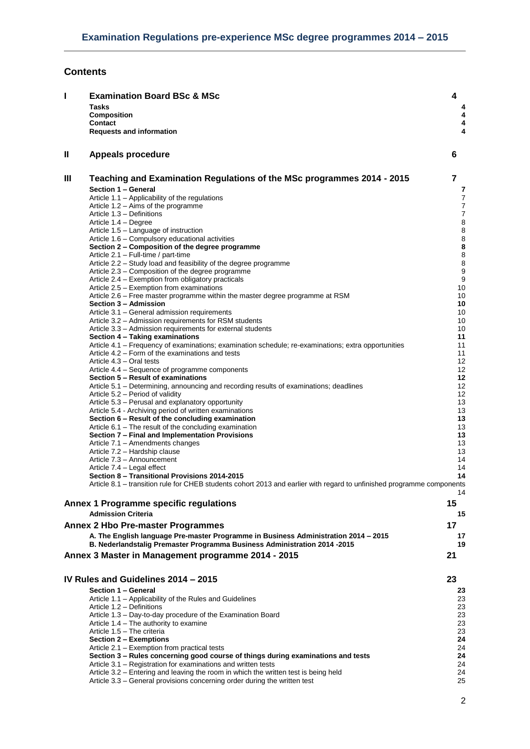# **Contents**

| T | <b>Examination Board BSc &amp; MSc</b><br><b>Tasks</b><br><b>Composition</b>                                                                                     | 4<br>4   |
|---|------------------------------------------------------------------------------------------------------------------------------------------------------------------|----------|
|   | Contact<br><b>Requests and information</b>                                                                                                                       | 4<br>4   |
| Ш | <b>Appeals procedure</b>                                                                                                                                         | 6        |
| Ш | Teaching and Examination Regulations of the MSc programmes 2014 - 2015                                                                                           | 7        |
|   | Section 1 - General<br>Article 1.1 - Applicability of the regulations                                                                                            | 7<br>7   |
|   | Article 1.2 – Aims of the programme                                                                                                                              | 7        |
|   | Article 1.3 - Definitions                                                                                                                                        | 7        |
|   | Article 1.4 – Degree<br>Article 1.5 - Language of instruction                                                                                                    | 8<br>8   |
|   | Article 1.6 - Compulsory educational activities                                                                                                                  | 8        |
|   | Section 2 – Composition of the degree programme                                                                                                                  | 8        |
|   | Article 2.1 - Full-time / part-time<br>Article 2.2 - Study load and feasibility of the degree programme                                                          | 8<br>8   |
|   | Article 2.3 – Composition of the degree programme                                                                                                                | g        |
|   | Article 2.4 – Exemption from obligatory practicals                                                                                                               | g        |
|   | Article 2.5 - Exemption from examinations<br>Article 2.6 – Free master programme within the master degree programme at RSM                                       | 10<br>10 |
|   | Section 3 - Admission                                                                                                                                            | 10       |
|   | Article 3.1 – General admission requirements                                                                                                                     | 10       |
|   | Article 3.2 - Admission requirements for RSM students<br>Article 3.3 - Admission requirements for external students                                              | 10<br>10 |
|   | Section 4 - Taking examinations                                                                                                                                  | 11       |
|   | Article 4.1 - Frequency of examinations; examination schedule; re-examinations; extra opportunities                                                              | 11       |
|   | Article 4.2 – Form of the examinations and tests<br>Article 4.3 – Oral tests                                                                                     | 11<br>12 |
|   | Article 4.4 – Sequence of programme components                                                                                                                   | 12       |
|   | Section 5 – Result of examinations                                                                                                                               | 12       |
|   | Article 5.1 – Determining, announcing and recording results of examinations; deadlines                                                                           | 12       |
|   | Article 5.2 – Period of validity<br>Article 5.3 - Perusal and explanatory opportunity                                                                            | 12<br>13 |
|   | Article 5.4 - Archiving period of written examinations                                                                                                           | 13       |
|   | Section 6 - Result of the concluding examination                                                                                                                 | 13       |
|   | Article 6.1 – The result of the concluding examination<br>Section 7 - Final and Implementation Provisions                                                        | 13<br>13 |
|   | Article 7.1 - Amendments changes                                                                                                                                 | 13       |
|   | Article 7.2 - Hardship clause                                                                                                                                    | 13       |
|   | Article 7.3 - Announcement<br>Article 7.4 - Legal effect                                                                                                         | 14<br>14 |
|   | Section 8 - Transitional Provisions 2014-2015                                                                                                                    | 14       |
|   | Article 8.1 – transition rule for CHEB students cohort 2013 and earlier with regard to unfinished programme components                                           | 14       |
|   | Annex 1 Programme specific regulations                                                                                                                           | 15       |
|   | <b>Admission Criteria</b>                                                                                                                                        | 15       |
|   | <b>Annex 2 Hbo Pre-master Programmes</b>                                                                                                                         | 17       |
|   | A. The English language Pre-master Programme in Business Administration 2014 - 2015<br>B. Nederlandstalig Premaster Programma Business Administration 2014 -2015 | 17<br>19 |
|   | Annex 3 Master in Management programme 2014 - 2015                                                                                                               | 21       |
|   |                                                                                                                                                                  |          |
|   | IV Rules and Guidelines 2014 - 2015                                                                                                                              | 23       |
|   | Section 1 - General                                                                                                                                              | 23       |
|   | Article 1.1 - Applicability of the Rules and Guidelines                                                                                                          | 23       |
|   | Article 1.2 - Definitions<br>Article 1.3 - Day-to-day procedure of the Examination Board                                                                         | 23<br>23 |
|   | Article 1.4 – The authority to examine                                                                                                                           | 23       |
|   | Article 1.5 - The criteria                                                                                                                                       | 23       |
|   | Section 2 - Exemptions<br>Article 2.1 – Exemption from practical tests                                                                                           | 24<br>24 |
|   | Section 3 - Rules concerning good course of things during examinations and tests                                                                                 | 24       |
|   | Article 3.1 - Registration for examinations and written tests                                                                                                    | 24       |
|   | Article 3.2 – Entering and leaving the room in which the written test is being held<br>Article 3.3 - General provisions concerning order during the written test | 24<br>25 |
|   |                                                                                                                                                                  |          |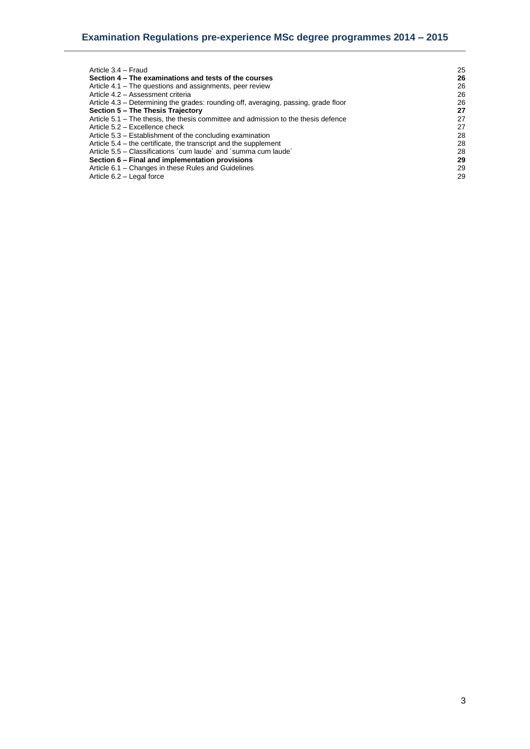| Article 3.4 - Fraud                                                                 | 25 |
|-------------------------------------------------------------------------------------|----|
| Section 4 - The examinations and tests of the courses                               | 26 |
| Article 4.1 – The questions and assignments, peer review                            | 26 |
| Article 4.2 - Assessment criteria                                                   | 26 |
| Article 4.3 – Determining the grades: rounding off, averaging, passing, grade floor | 26 |
| Section 5 - The Thesis Trajectory                                                   | 27 |
| Article 5.1 – The thesis, the thesis committee and admission to the thesis defence  | 27 |
| Article 5.2 – Excellence check                                                      | 27 |
| Article 5.3 – Establishment of the concluding examination                           | 28 |
| Article 5.4 – the certificate, the transcript and the supplement                    | 28 |
| Article 5.5 – Classifications 'cum laude' and 'summa cum laude'                     | 28 |
| Section 6 – Final and implementation provisions                                     | 29 |
| Article 6.1 – Changes in these Rules and Guidelines                                 | 29 |
| Article 6.2 - Legal force                                                           | 29 |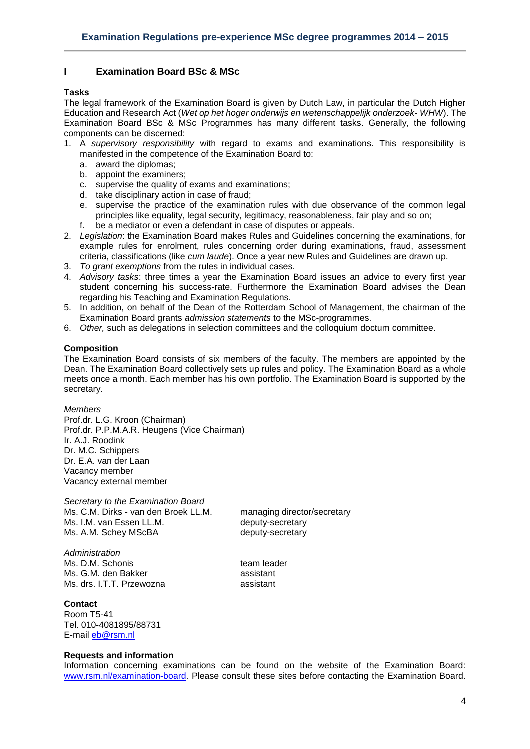# <span id="page-3-0"></span>**I Examination Board BSc & MSc**

### <span id="page-3-1"></span>**Tasks**

The legal framework of the Examination Board is given by Dutch Law, in particular the Dutch Higher Education and Research Act (*Wet op het hoger onderwijs en wetenschappelijk onderzoek- WHW*). The Examination Board BSc & MSc Programmes has many different tasks. Generally, the following components can be discerned:

- 1. A *supervisory responsibility* with regard to exams and examinations. This responsibility is manifested in the competence of the Examination Board to:
	- a. award the diplomas;
	- b. appoint the examiners;
	- c. supervise the quality of exams and examinations;
	- d. take disciplinary action in case of fraud;
	- e. supervise the practice of the examination rules with due observance of the common legal principles like equality, legal security, legitimacy, reasonableness, fair play and so on;
	- f. be a mediator or even a defendant in case of disputes or appeals.
- 2. *Legislation*: the Examination Board makes Rules and Guidelines concerning the examinations, for example rules for enrolment, rules concerning order during examinations, fraud, assessment criteria, classifications (like *cum laude*). Once a year new Rules and Guidelines are drawn up.
- 3. *To grant exemptions* from the rules in individual cases.
- 4. *Advisory tasks*: three times a year the Examination Board issues an advice to every first year student concerning his success-rate. Furthermore the Examination Board advises the Dean regarding his Teaching and Examination Regulations.
- 5. In addition, on behalf of the Dean of the Rotterdam School of Management, the chairman of the Examination Board grants *admission statements* to the MSc-programmes.
- 6. *Other,* such as delegations in selection committees and the colloquium doctum committee.

# <span id="page-3-2"></span>**Composition**

The Examination Board consists of six members of the faculty. The members are appointed by the Dean. The Examination Board collectively sets up rules and policy. The Examination Board as a whole meets once a month. Each member has his own portfolio. The Examination Board is supported by the secretary.

*Members*

Prof.dr. L.G. Kroon (Chairman) Prof.dr. P.P.M.A.R. Heugens (Vice Chairman) Ir. A.J. Roodink Dr. M.C. Schippers Dr. E.A. van der Laan Vacancy member Vacancy external member

*Secretary to the Examination Board* Ms. C.M. Dirks - van den Broek LL.M. managing director/secretary Ms. I.M. van Essen LL.M.<br>Ms. A.M. Schey MScBA deputy-secretary Ms. A.M. Schey MScBA

*Administration* Ms. D.M. Schonis team leader Ms. G.M. den Bakker assistant Ms. drs. I.T.T. Przewozna assistant

<span id="page-3-3"></span>**Contact**

Room T5-41 Tel. 010-4081895/88731 E-mail [eb@rsm.nl](mailto:eb@rsm.nl)

### <span id="page-3-4"></span>**Requests and information**

Information concerning examinations can be found on the website of the Examination Board: [www.rsm.nl/examination-board.](http://www.rsm.nl/examination-board) Please consult these sites before contacting the Examination Board.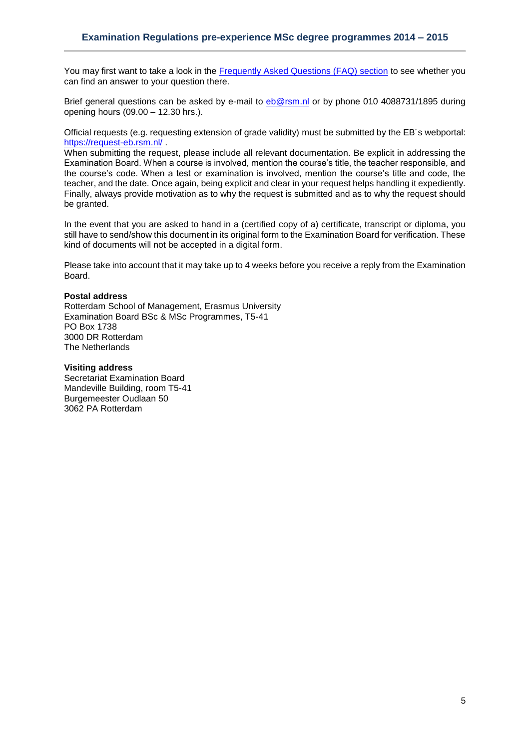You may first want to take a look in the [Frequently Asked Questions \(FAQ\) section](http://www.rsm.nl/examination-board/frequently-asked-questions-faqs/) to see whether you can find an answer to your question there.

Brief general questions can be asked by e-mail to [eb@rsm.nl](mailto:eb@rsm.nl) or by phone 010 4088731/1895 during opening hours (09.00 – 12.30 hrs.).

Official requests (e.g. requesting extension of grade validity) must be submitted by the EB´s webportal: <https://request-eb.rsm.nl/>

When submitting the request, please include all relevant documentation. Be explicit in addressing the Examination Board. When a course is involved, mention the course's title, the teacher responsible, and the course's code. When a test or examination is involved, mention the course's title and code, the teacher, and the date. Once again, being explicit and clear in your request helps handling it expediently. Finally, always provide motivation as to why the request is submitted and as to why the request should be granted.

In the event that you are asked to hand in a (certified copy of a) certificate, transcript or diploma, you still have to send/show this document in its original form to the Examination Board for verification. These kind of documents will not be accepted in a digital form.

Please take into account that it may take up to 4 weeks before you receive a reply from the Examination Board.

### **Postal address**

Rotterdam School of Management, Erasmus University Examination Board BSc & MSc Programmes, T5-41 PO Box 1738 3000 DR Rotterdam The Netherlands

### **Visiting address**

Secretariat Examination Board Mandeville Building, room T5-41 Burgemeester Oudlaan 50 3062 PA Rotterdam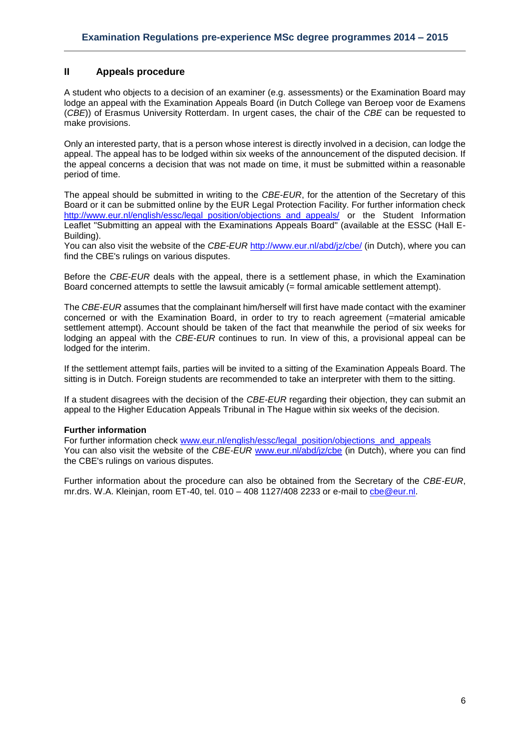# <span id="page-5-0"></span>**II Appeals procedure**

A student who objects to a decision of an examiner (e.g. assessments) or the Examination Board may lodge an appeal with the Examination Appeals Board (in Dutch College van Beroep voor de Examens (*CBE*)) of Erasmus University Rotterdam. In urgent cases, the chair of the *CBE* can be requested to make provisions.

Only an interested party, that is a person whose interest is directly involved in a decision, can lodge the appeal. The appeal has to be lodged within six weeks of the announcement of the disputed decision. If the appeal concerns a decision that was not made on time, it must be submitted within a reasonable period of time.

The appeal should be submitted in writing to the *CBE*-*EUR*, for the attention of the Secretary of this Board or it can be submitted online by the EUR Legal Protection Facility. For further information check [http://www.eur.nl/english/essc/legal\\_position/objections\\_and\\_appeals/](http://www.eur.nl/english/essc/legal_position/objections_and_appeals/) or the Student Information Leaflet "Submitting an appeal with the Examinations Appeals Board" (available at the ESSC (Hall E-Building).

You can also visit the website of the *CBE-EUR* <http://www.eur.nl/abd/jz/cbe/> (in Dutch), where you can find the CBE's rulings on various disputes.

Before the *CBE*-*EUR* deals with the appeal, there is a settlement phase, in which the Examination Board concerned attempts to settle the lawsuit amicably (= formal amicable settlement attempt).

The *CBE*-*EUR* assumes that the complainant him/herself will first have made contact with the examiner concerned or with the Examination Board, in order to try to reach agreement (=material amicable settlement attempt). Account should be taken of the fact that meanwhile the period of six weeks for lodging an appeal with the *CBE*-*EUR* continues to run. In view of this, a provisional appeal can be lodged for the interim.

If the settlement attempt fails, parties will be invited to a sitting of the Examination Appeals Board. The sitting is in Dutch. Foreign students are recommended to take an interpreter with them to the sitting.

If a student disagrees with the decision of the *CBE-EUR* regarding their objection, they can submit an appeal to the Higher Education Appeals Tribunal in The Hague within six weeks of the decision.

# **Further information**

For further information check [www.eur.nl/english/essc/legal\\_position/objections\\_and\\_appeals](http://www.eur.nl/english/essc/legal_position/objections_and_appeals) You can also visit the website of the *CBE-EUR* [www.eur.nl/abd/jz/cbe](http://www.eur.nl/abd/jz/cbe) (in Dutch), where you can find the CBE's rulings on various disputes.

Further information about the procedure can also be obtained from the Secretary of the *CBE-EUR*, mr.drs. W.A. Kleinjan, room ET-40, tel. 010 – 408 1127/408 2233 or e-mail to [cbe@eur.nl.](mailto:cbe@eur.nl)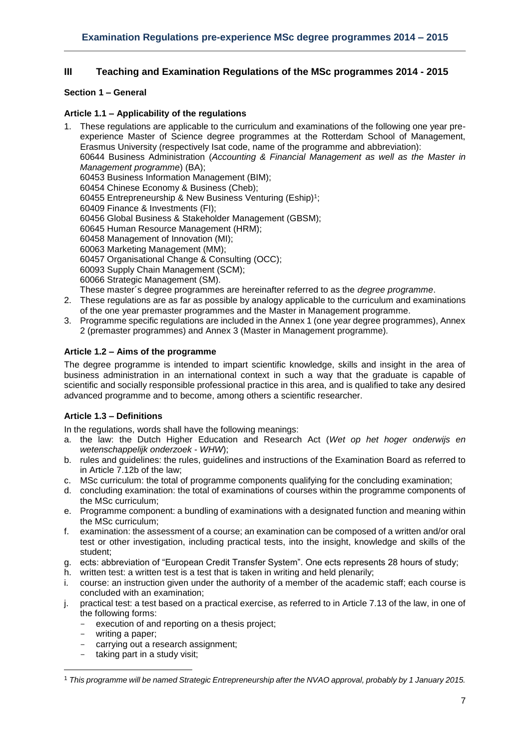# <span id="page-6-0"></span>**III Teaching and Examination Regulations of the MSc programmes 2014 - 2015**

# <span id="page-6-2"></span><span id="page-6-1"></span>**Section 1 – General**

# **Article 1.1 – Applicability of the regulations**

- 1. These regulations are applicable to the curriculum and examinations of the following one year preexperience Master of Science degree programmes at the Rotterdam School of Management, Erasmus University (respectively Isat code, name of the programme and abbreviation): 60644 Business Administration (*Accounting & Financial Management as well as the Master in Management programme*) (BA); 60453 Business Information Management (BIM); 60454 Chinese Economy & Business (Cheb); 60455 Entrepreneurship & New Business Venturing (Eship)<sup>1</sup>; 60409 Finance & Investments (FI); 60456 Global Business & Stakeholder Management (GBSM); 60645 Human Resource Management (HRM); 60458 Management of Innovation (MI); 60063 Marketing Management (MM); 60457 Organisational Change & Consulting (OCC); 60093 Supply Chain Management (SCM); 60066 Strategic Management (SM). These master´s degree programmes are hereinafter referred to as the *degree programme*.
- 2. These regulations are as far as possible by analogy applicable to the curriculum and examinations of the one year premaster programmes and the Master in Management programme.
- 3. Programme specific regulations are included in the Annex 1 (one year degree programmes), Annex 2 (premaster programmes) and Annex 3 (Master in Management programme)*.*

# <span id="page-6-3"></span>**Article 1.2 – Aims of the programme**

The degree programme is intended to impart scientific knowledge, skills and insight in the area of business administration in an international context in such a way that the graduate is capable of scientific and socially responsible professional practice in this area, and is qualified to take any desired advanced programme and to become, among others a scientific researcher.

# <span id="page-6-4"></span>**Article 1.3 – Definitions**

In the regulations, words shall have the following meanings:

- a. the law: the Dutch Higher Education and Research Act (*Wet op het hoger onderwijs en wetenschappelijk onderzoek* - *WHW*);
- b. rules and guidelines: the rules, guidelines and instructions of the Examination Board as referred to in Article 7.12b of the law;
- c. MSc curriculum: the total of programme components qualifying for the concluding examination;
- d. concluding examination: the total of examinations of courses within the programme components of the MSc curriculum;
- e. Programme component: a bundling of examinations with a designated function and meaning within the MSc curriculum;
- f. examination: the assessment of a course; an examination can be composed of a written and/or oral test or other investigation, including practical tests, into the insight, knowledge and skills of the student;
- g. ects: abbreviation of "European Credit Transfer System". One ects represents 28 hours of study;
- h. written test: a written test is a test that is taken in writing and held plenarily;
- i. course: an instruction given under the authority of a member of the academic staff; each course is concluded with an examination;
- j. practical test: a test based on a practical exercise, as referred to in Article 7.13 of the law, in one of the following forms:
	- execution of and reporting on a thesis project;
	- writing a paper;

**.** 

- carrying out a research assignment:
- taking part in a study visit;

<sup>1</sup> *This programme will be named Strategic Entrepreneurship after the NVAO approval, probably by 1 January 2015.*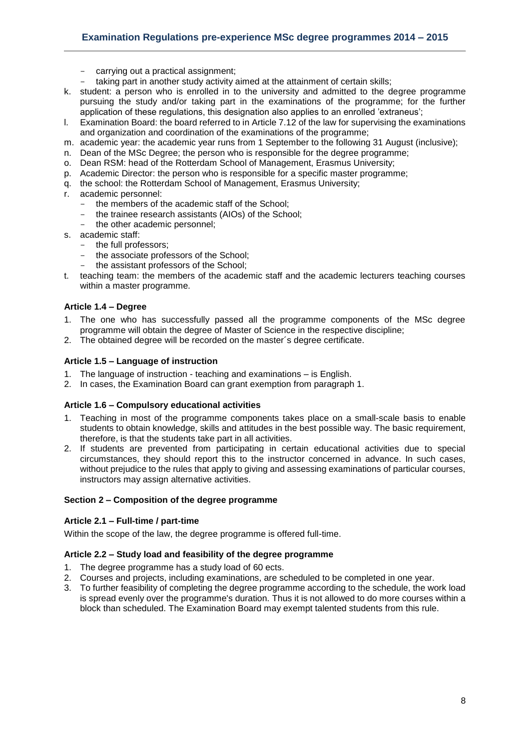# **Examination Regulations pre-experience MSc degree programmes 2014 – 2015**

- carrying out a practical assignment;
- taking part in another study activity aimed at the attainment of certain skills;
- k. student: a person who is enrolled in to the university and admitted to the degree programme pursuing the study and/or taking part in the examinations of the programme; for the further application of these regulations, this designation also applies to an enrolled 'extraneus';
- l. Examination Board: the board referred to in Article 7.12 of the law for supervising the examinations and organization and coordination of the examinations of the programme;
- m. academic year: the academic year runs from 1 September to the following 31 August (inclusive);
- n. Dean of the MSc Degree; the person who is responsible for the degree programme;
- o. Dean RSM: head of the Rotterdam School of Management, Erasmus University;
- p. Academic Director: the person who is responsible for a specific master programme;
- q. the school: the Rotterdam School of Management, Erasmus University;
- r. academic personnel:
	- the members of the academic staff of the School;
	- the trainee research assistants (AIOs) of the School;
	- the other academic personnel;
- s. academic staff:
	- the full professors;
	- the associate professors of the School;
	- the assistant professors of the School;
- t. teaching team: the members of the academic staff and the academic lecturers teaching courses within a master programme.

### <span id="page-7-0"></span>**Article 1.4 – Degree**

- 1. The one who has successfully passed all the programme components of the MSc degree programme will obtain the degree of Master of Science in the respective discipline;
- <span id="page-7-1"></span>2. The obtained degree will be recorded on the master´s degree certificate.

### **Article 1.5 – Language of instruction**

- 1. The language of instruction teaching and examinations is English.
- <span id="page-7-2"></span>2. In cases, the Examination Board can grant exemption from paragraph 1.

### **Article 1.6 – Compulsory educational activities**

- 1. Teaching in most of the programme components takes place on a small-scale basis to enable students to obtain knowledge, skills and attitudes in the best possible way. The basic requirement, therefore, is that the students take part in all activities.
- 2. If students are prevented from participating in certain educational activities due to special circumstances, they should report this to the instructor concerned in advance. In such cases, without prejudice to the rules that apply to giving and assessing examinations of particular courses, instructors may assign alternative activities.

### <span id="page-7-4"></span><span id="page-7-3"></span>**Section 2 – Composition of the degree programme**

### **Article 2.1 – Full-time / part-time**

<span id="page-7-5"></span>Within the scope of the law, the degree programme is offered full-time.

### **Article 2.2 – Study load and feasibility of the degree programme**

- 1. The degree programme has a study load of 60 ects.
- 2. Courses and projects, including examinations, are scheduled to be completed in one year.
- 3. To further feasibility of completing the degree programme according to the schedule, the work load is spread evenly over the programme's duration. Thus it is not allowed to do more courses within a block than scheduled. The Examination Board may exempt talented students from this rule.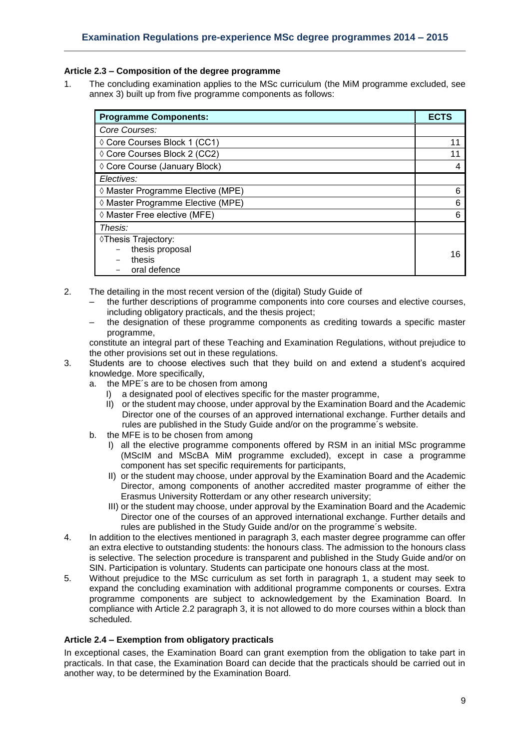# <span id="page-8-0"></span>**Article 2.3 – Composition of the degree programme**

1. The concluding examination applies to the MSc curriculum (the MiM programme excluded, see annex 3) built up from five programme components as follows:

| <b>Programme Components:</b>      |    |  |  |  |  |
|-----------------------------------|----|--|--|--|--|
| Core Courses:                     |    |  |  |  |  |
| ◊ Core Courses Block 1 (CC1)      | 11 |  |  |  |  |
| ♦ Core Courses Block 2 (CC2)      |    |  |  |  |  |
| ♦ Core Course (January Block)     |    |  |  |  |  |
| Electives:                        |    |  |  |  |  |
| ◊ Master Programme Elective (MPE) |    |  |  |  |  |
| ◊ Master Programme Elective (MPE) |    |  |  |  |  |
| ◊ Master Free elective (MFE)      |    |  |  |  |  |
| Thesis:                           |    |  |  |  |  |
| ♦Thesis Trajectory:               |    |  |  |  |  |
| thesis proposal                   | 16 |  |  |  |  |
| thesis                            |    |  |  |  |  |
| oral defence                      |    |  |  |  |  |

- 2. The detailing in the most recent version of the (digital) Study Guide of
	- the further descriptions of programme components into core courses and elective courses, including obligatory practicals, and the thesis project;
	- the designation of these programme components as crediting towards a specific master programme,

constitute an integral part of these Teaching and Examination Regulations, without prejudice to the other provisions set out in these regulations.

- 3. Students are to choose electives such that they build on and extend a student's acquired knowledge. More specifically,
	- a. the MPE´s are to be chosen from among
		- I) a designated pool of electives specific for the master programme,
		- II) or the student may choose, under approval by the Examination Board and the Academic Director one of the courses of an approved international exchange. Further details and rules are published in the Study Guide and/or on the programme´s website.
	- b. the MFE is to be chosen from among
		- I) all the elective programme components offered by RSM in an initial MSc programme (MScIM and MScBA MiM programme excluded), except in case a programme component has set specific requirements for participants,
		- II) or the student may choose, under approval by the Examination Board and the Academic Director, among components of another accredited master programme of either the Erasmus University Rotterdam or any other research university;
		- III) or the student may choose, under approval by the Examination Board and the Academic Director one of the courses of an approved international exchange. Further details and rules are published in the Study Guide and/or on the programme´s website.
- 4. In addition to the electives mentioned in paragraph 3, each master degree programme can offer an extra elective to outstanding students: the honours class. The admission to the honours class is selective. The selection procedure is transparent and published in the Study Guide and/or on SIN. Participation is voluntary. Students can participate one honours class at the most.
- 5. Without prejudice to the MSc curriculum as set forth in paragraph 1, a student may seek to expand the concluding examination with additional programme components or courses. Extra programme components are subject to acknowledgement by the Examination Board. In compliance with Article 2.2 paragraph 3, it is not allowed to do more courses within a block than scheduled.

# <span id="page-8-1"></span>**Article 2.4 – Exemption from obligatory practicals**

In exceptional cases, the Examination Board can grant exemption from the obligation to take part in practicals. In that case, the Examination Board can decide that the practicals should be carried out in another way, to be determined by the Examination Board.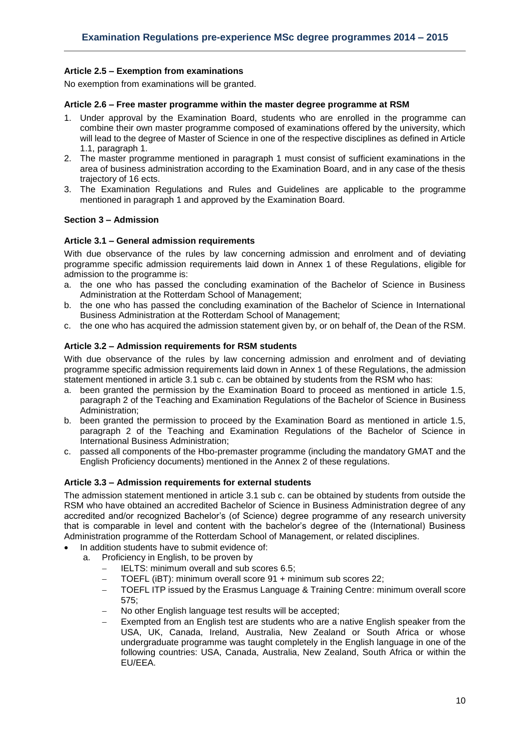# <span id="page-9-0"></span>**Article 2.5 – Exemption from examinations**

<span id="page-9-1"></span>No exemption from examinations will be granted.

### **Article 2.6 – Free master programme within the master degree programme at RSM**

- 1. Under approval by the Examination Board, students who are enrolled in the programme can combine their own master programme composed of examinations offered by the university, which will lead to the degree of Master of Science in one of the respective disciplines as defined in Article 1.1, paragraph 1.
- 2. The master programme mentioned in paragraph 1 must consist of sufficient examinations in the area of business administration according to the Examination Board, and in any case of the thesis trajectory of 16 ects.
- 3. The Examination Regulations and Rules and Guidelines are applicable to the programme mentioned in paragraph 1 and approved by the Examination Board.

### <span id="page-9-3"></span><span id="page-9-2"></span>**Section 3 – Admission**

### **Article 3.1 – General admission requirements**

With due observance of the rules by law concerning admission and enrolment and of deviating programme specific admission requirements laid down in Annex 1 of these Regulations, eligible for admission to the programme is:

- a. the one who has passed the concluding examination of the Bachelor of Science in Business Administration at the Rotterdam School of Management;
- b. the one who has passed the concluding examination of the Bachelor of Science in International Business Administration at the Rotterdam School of Management;
- <span id="page-9-4"></span>c. the one who has acquired the admission statement given by, or on behalf of, the Dean of the RSM.

### **Article 3.2 – Admission requirements for RSM students**

With due observance of the rules by law concerning admission and enrolment and of deviating programme specific admission requirements laid down in Annex 1 of these Regulations, the admission statement mentioned in article 3.1 sub c. can be obtained by students from the RSM who has:

- a. been granted the permission by the Examination Board to proceed as mentioned in article 1.5, paragraph 2 of the Teaching and Examination Regulations of the Bachelor of Science in Business Administration;
- b. been granted the permission to proceed by the Examination Board as mentioned in article 1.5, paragraph 2 of the Teaching and Examination Regulations of the Bachelor of Science in International Business Administration;
- c. passed all components of the Hbo-premaster programme (including the mandatory GMAT and the English Proficiency documents) mentioned in the Annex 2 of these regulations.

### <span id="page-9-5"></span>**Article 3.3 – Admission requirements for external students**

The admission statement mentioned in article 3.1 sub c. can be obtained by students from outside the RSM who have obtained an accredited Bachelor of Science in Business Administration degree of any accredited and/or recognized Bachelor's (of Science) degree programme of any research university that is comparable in level and content with the bachelor's degree of the (International) Business Administration programme of the Rotterdam School of Management, or related disciplines.

- In addition students have to submit evidence of:
	- a. Proficiency in English, to be proven by
		- IELTS: minimum overall and sub scores 6.5;
		- TOEFL (iBT): minimum overall score 91 + minimum sub scores 22;
		- TOEFL ITP issued by the Erasmus Language & Training Centre: minimum overall score 575;
		- No other English language test results will be accepted;
		- Exempted from an English test are students who are a native English speaker from the USA, UK, Canada, Ireland, Australia, New Zealand or South Africa or whose undergraduate programme was taught completely in the English language in one of the following countries: USA, Canada, Australia, New Zealand, South Africa or within the EU/EEA.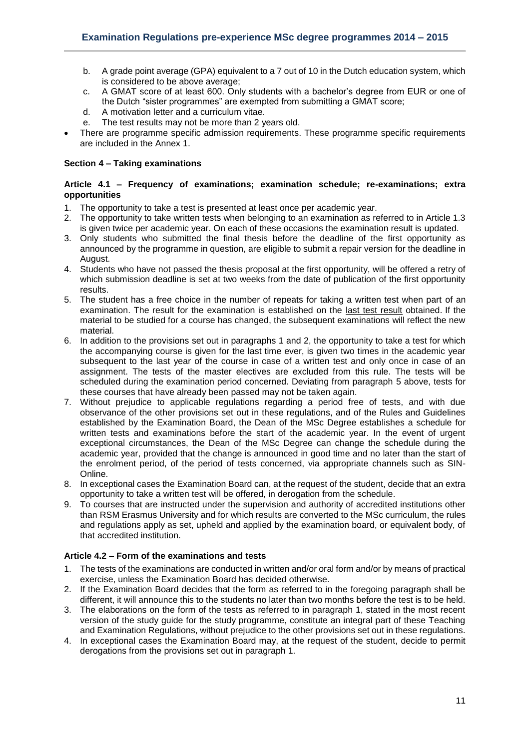- b. A grade point average (GPA) equivalent to a 7 out of 10 in the Dutch education system, which is considered to be above average;
- c. A GMAT score of at least 600. Only students with a bachelor's degree from EUR or one of the Dutch "sister programmes" are exempted from submitting a GMAT score;
- d. A motivation letter and a curriculum vitae.
- e. The test results may not be more than 2 years old.
- There are programme specific admission requirements. These programme specific requirements are included in the Annex 1.

# <span id="page-10-1"></span><span id="page-10-0"></span>**Section 4 – Taking examinations**

### **Article 4.1 – Frequency of examinations; examination schedule; re-examinations; extra opportunities**

- 1. The opportunity to take a test is presented at least once per academic year.
- 2. The opportunity to take written tests when belonging to an examination as referred to in Article 1.3 is given twice per academic year. On each of these occasions the examination result is updated.
- 3. Only students who submitted the final thesis before the deadline of the first opportunity as announced by the programme in question, are eligible to submit a repair version for the deadline in August.
- 4. Students who have not passed the thesis proposal at the first opportunity, will be offered a retry of which submission deadline is set at two weeks from the date of publication of the first opportunity results.
- 5. The student has a free choice in the number of repeats for taking a written test when part of an examination. The result for the examination is established on the last test result obtained. If the material to be studied for a course has changed, the subsequent examinations will reflect the new material.
- 6. In addition to the provisions set out in paragraphs 1 and 2, the opportunity to take a test for which the accompanying course is given for the last time ever, is given two times in the academic year subsequent to the last year of the course in case of a written test and only once in case of an assignment. The tests of the master electives are excluded from this rule. The tests will be scheduled during the examination period concerned. Deviating from paragraph 5 above, tests for these courses that have already been passed may not be taken again.
- 7. Without prejudice to applicable regulations regarding a period free of tests, and with due observance of the other provisions set out in these regulations, and of the Rules and Guidelines established by the Examination Board, the Dean of the MSc Degree establishes a schedule for written tests and examinations before the start of the academic year. In the event of urgent exceptional circumstances, the Dean of the MSc Degree can change the schedule during the academic year, provided that the change is announced in good time and no later than the start of the enrolment period, of the period of tests concerned, via appropriate channels such as SIN-Online.
- 8. In exceptional cases the Examination Board can, at the request of the student, decide that an extra opportunity to take a written test will be offered, in derogation from the schedule.
- 9. To courses that are instructed under the supervision and authority of accredited institutions other than RSM Erasmus University and for which results are converted to the MSc curriculum, the rules and regulations apply as set, upheld and applied by the examination board, or equivalent body, of that accredited institution.

# <span id="page-10-2"></span>**Article 4.2 – Form of the examinations and tests**

- 1. The tests of the examinations are conducted in written and/or oral form and/or by means of practical exercise, unless the Examination Board has decided otherwise.
- 2. If the Examination Board decides that the form as referred to in the foregoing paragraph shall be different, it will announce this to the students no later than two months before the test is to be held.
- 3. The elaborations on the form of the tests as referred to in paragraph 1, stated in the most recent version of the study guide for the study programme, constitute an integral part of these Teaching and Examination Regulations, without prejudice to the other provisions set out in these regulations.
- 4. In exceptional cases the Examination Board may, at the request of the student, decide to permit derogations from the provisions set out in paragraph 1.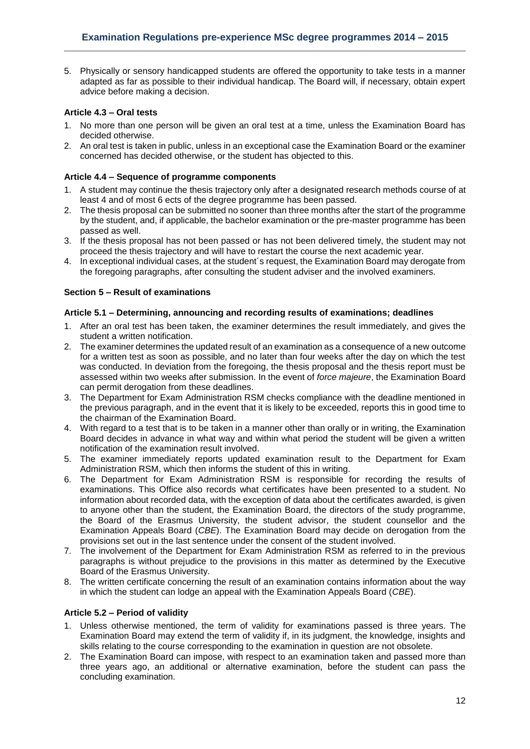5. Physically or sensory handicapped students are offered the opportunity to take tests in a manner adapted as far as possible to their individual handicap. The Board will, if necessary, obtain expert advice before making a decision.

# <span id="page-11-0"></span>**Article 4.3 – Oral tests**

- 1. No more than one person will be given an oral test at a time, unless the Examination Board has decided otherwise.
- 2. An oral test is taken in public, unless in an exceptional case the Examination Board or the examiner concerned has decided otherwise, or the student has objected to this.

# <span id="page-11-1"></span>**Article 4.4 – Sequence of programme components**

- 1. A student may continue the thesis trajectory only after a designated research methods course of at least 4 and of most 6 ects of the degree programme has been passed.
- 2. The thesis proposal can be submitted no sooner than three months after the start of the programme by the student, and, if applicable, the bachelor examination or the pre-master programme has been passed as well.
- 3. If the thesis proposal has not been passed or has not been delivered timely, the student may not proceed the thesis trajectory and will have to restart the course the next academic year.
- 4. In exceptional individual cases, at the student´s request, the Examination Board may derogate from the foregoing paragraphs, after consulting the student adviser and the involved examiners.

# <span id="page-11-2"></span>**Section 5 – Result of examinations**

# <span id="page-11-3"></span>**Article 5.1 – Determining, announcing and recording results of examinations; deadlines**

- 1. After an oral test has been taken, the examiner determines the result immediately, and gives the student a written notification.
- 2. The examiner determines the updated result of an examination as a consequence of a new outcome for a written test as soon as possible, and no later than four weeks after the day on which the test was conducted. In deviation from the foregoing, the thesis proposal and the thesis report must be assessed within two weeks after submission. In the event of *force majeure*, the Examination Board can permit derogation from these deadlines.
- 3. The Department for Exam Administration RSM checks compliance with the deadline mentioned in the previous paragraph, and in the event that it is likely to be exceeded, reports this in good time to the chairman of the Examination Board.
- 4. With regard to a test that is to be taken in a manner other than orally or in writing, the Examination Board decides in advance in what way and within what period the student will be given a written notification of the examination result involved.
- 5. The examiner immediately reports updated examination result to the Department for Exam Administration RSM, which then informs the student of this in writing.
- 6. The Department for Exam Administration RSM is responsible for recording the results of examinations. This Office also records what certificates have been presented to a student. No information about recorded data, with the exception of data about the certificates awarded, is given to anyone other than the student, the Examination Board, the directors of the study programme, the Board of the Erasmus University, the student advisor, the student counsellor and the Examination Appeals Board (*CBE*). The Examination Board may decide on derogation from the provisions set out in the last sentence under the consent of the student involved.
- 7. The involvement of the Department for Exam Administration RSM as referred to in the previous paragraphs is without prejudice to the provisions in this matter as determined by the Executive Board of the Erasmus University.
- 8. The written certificate concerning the result of an examination contains information about the way in which the student can lodge an appeal with the Examination Appeals Board (*CBE*).

# <span id="page-11-4"></span>**Article 5.2 – Period of validity**

- 1. Unless otherwise mentioned, the term of validity for examinations passed is three years. The Examination Board may extend the term of validity if, in its judgment, the knowledge, insights and skills relating to the course corresponding to the examination in question are not obsolete.
- 2. The Examination Board can impose, with respect to an examination taken and passed more than three years ago, an additional or alternative examination, before the student can pass the concluding examination.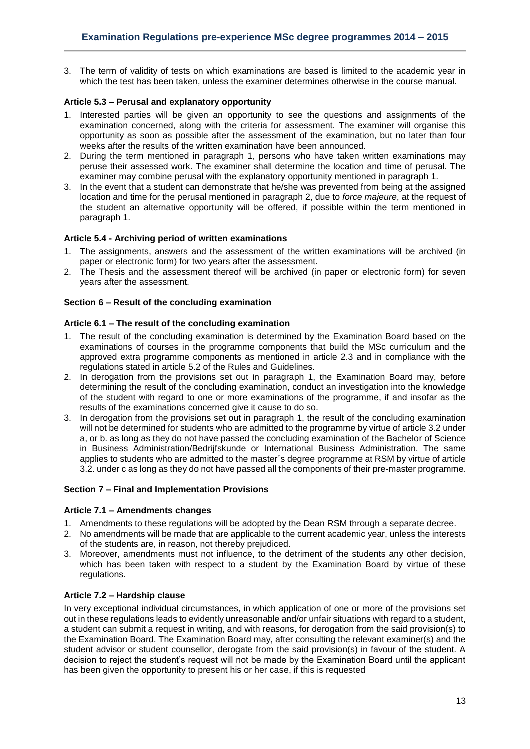3. The term of validity of tests on which examinations are based is limited to the academic year in which the test has been taken, unless the examiner determines otherwise in the course manual.

# <span id="page-12-0"></span>**Article 5.3 – Perusal and explanatory opportunity**

- 1. Interested parties will be given an opportunity to see the questions and assignments of the examination concerned, along with the criteria for assessment. The examiner will organise this opportunity as soon as possible after the assessment of the examination, but no later than four weeks after the results of the written examination have been announced.
- 2. During the term mentioned in paragraph 1, persons who have taken written examinations may peruse their assessed work. The examiner shall determine the location and time of perusal. The examiner may combine perusal with the explanatory opportunity mentioned in paragraph 1.
- 3. In the event that a student can demonstrate that he/she was prevented from being at the assigned location and time for the perusal mentioned in paragraph 2, due to *force majeure*, at the request of the student an alternative opportunity will be offered, if possible within the term mentioned in paragraph 1.

# <span id="page-12-1"></span>**Article 5.4 - Archiving period of written examinations**

- 1. The assignments, answers and the assessment of the written examinations will be archived (in paper or electronic form) for two years after the assessment.
- 2. The Thesis and the assessment thereof will be archived (in paper or electronic form) for seven years after the assessment.

# <span id="page-12-3"></span><span id="page-12-2"></span>**Section 6 – Result of the concluding examination**

# **Article 6.1 – The result of the concluding examination**

- 1. The result of the concluding examination is determined by the Examination Board based on the examinations of courses in the programme components that build the MSc curriculum and the approved extra programme components as mentioned in article 2.3 and in compliance with the regulations stated in article 5.2 of the Rules and Guidelines.
- 2. In derogation from the provisions set out in paragraph 1, the Examination Board may, before determining the result of the concluding examination, conduct an investigation into the knowledge of the student with regard to one or more examinations of the programme, if and insofar as the results of the examinations concerned give it cause to do so.
- 3. In derogation from the provisions set out in paragraph 1, the result of the concluding examination will not be determined for students who are admitted to the programme by virtue of article 3.2 under a, or b. as long as they do not have passed the concluding examination of the Bachelor of Science in Business Administration/Bedrijfskunde or International Business Administration. The same applies to students who are admitted to the master´s degree programme at RSM by virtue of article 3.2. under c as long as they do not have passed all the components of their pre-master programme.

# <span id="page-12-4"></span>**Section 7 – Final and Implementation Provisions**

# <span id="page-12-5"></span>**Article 7.1 – Amendments changes**

- 1. Amendments to these regulations will be adopted by the Dean RSM through a separate decree.
- 2. No amendments will be made that are applicable to the current academic year, unless the interests of the students are, in reason, not thereby prejudiced.
- 3. Moreover, amendments must not influence, to the detriment of the students any other decision, which has been taken with respect to a student by the Examination Board by virtue of these regulations.

# <span id="page-12-6"></span>**Article 7.2 – Hardship clause**

In very exceptional individual circumstances, in which application of one or more of the provisions set out in these regulations leads to evidently unreasonable and/or unfair situations with regard to a student, a student can submit a request in writing, and with reasons, for derogation from the said provision(s) to the Examination Board. The Examination Board may, after consulting the relevant examiner(s) and the student advisor or student counsellor, derogate from the said provision(s) in favour of the student. A decision to reject the student's request will not be made by the Examination Board until the applicant has been given the opportunity to present his or her case, if this is requested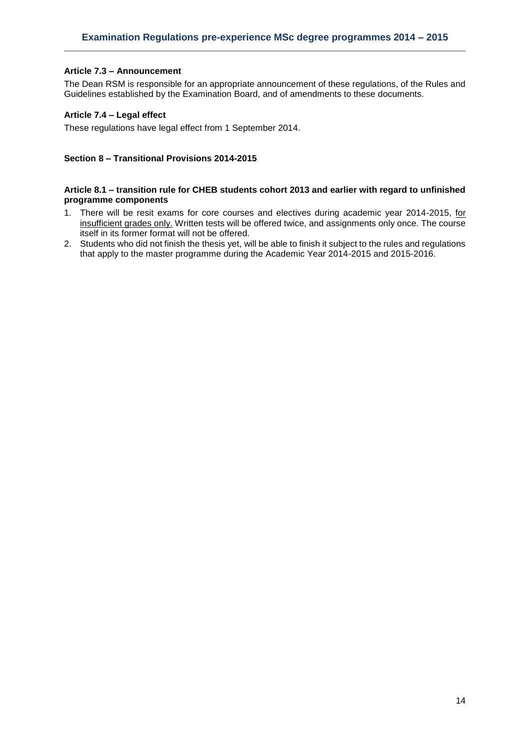# <span id="page-13-0"></span>**Article 7.3 – Announcement**

The Dean RSM is responsible for an appropriate announcement of these regulations, of the Rules and Guidelines established by the Examination Board, and of amendments to these documents.

# <span id="page-13-1"></span>**Article 7.4 – Legal effect**

These regulations have legal effect from 1 September 2014.

### <span id="page-13-2"></span>**Section 8 – Transitional Provisions 2014-2015**

### <span id="page-13-3"></span>**Article 8.1 – transition rule for CHEB students cohort 2013 and earlier with regard to unfinished programme components**

- 1. There will be resit exams for core courses and electives during academic year 2014-2015, for insufficient grades only. Written tests will be offered twice, and assignments only once. The course itself in its former format will not be offered.
- 2. Students who did not finish the thesis yet, will be able to finish it subject to the rules and regulations that apply to the master programme during the Academic Year 2014-2015 and 2015-2016.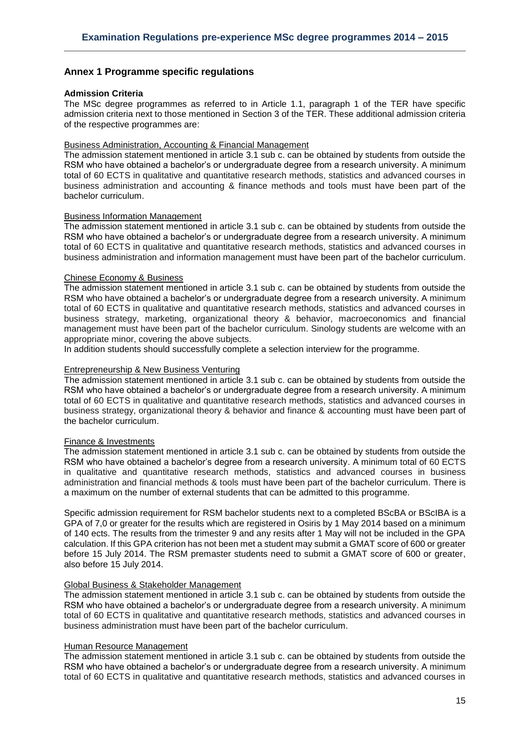# <span id="page-14-0"></span>**Annex 1 Programme specific regulations**

### <span id="page-14-1"></span>**Admission Criteria**

The MSc degree programmes as referred to in Article 1.1, paragraph 1 of the TER have specific admission criteria next to those mentioned in Section 3 of the TER. These additional admission criteria of the respective programmes are:

### Business Administration, Accounting & Financial Management

The admission statement mentioned in article 3.1 sub c. can be obtained by students from outside the RSM who have obtained a bachelor's or undergraduate degree from a research university. A minimum total of 60 ECTS in qualitative and quantitative research methods, statistics and advanced courses in business administration and accounting & finance methods and tools must have been part of the bachelor curriculum.

### Business Information Management

The admission statement mentioned in article 3.1 sub c. can be obtained by students from outside the RSM who have obtained a bachelor's or undergraduate degree from a research university. A minimum total of 60 ECTS in qualitative and quantitative research methods, statistics and advanced courses in business administration and information management must have been part of the bachelor curriculum.

### Chinese Economy & Business

The admission statement mentioned in article 3.1 sub c. can be obtained by students from outside the RSM who have obtained a bachelor's or undergraduate degree from a research university. A minimum total of 60 ECTS in qualitative and quantitative research methods, statistics and advanced courses in business strategy, marketing, organizational theory & behavior, macroeconomics and financial management must have been part of the bachelor curriculum. Sinology students are welcome with an appropriate minor, covering the above subjects.

In addition students should successfully complete a selection interview for the programme.

### Entrepreneurship & New Business Venturing

The admission statement mentioned in article 3.1 sub c. can be obtained by students from outside the RSM who have obtained a bachelor's or undergraduate degree from a research university. A minimum total of 60 ECTS in qualitative and quantitative research methods, statistics and advanced courses in business strategy, organizational theory & behavior and finance & accounting must have been part of the bachelor curriculum.

### Finance & Investments

The admission statement mentioned in article 3.1 sub c. can be obtained by students from outside the RSM who have obtained a bachelor's degree from a research university. A minimum total of 60 ECTS in qualitative and quantitative research methods, statistics and advanced courses in business administration and financial methods & tools must have been part of the bachelor curriculum. There is a maximum on the number of external students that can be admitted to this programme.

Specific admission requirement for RSM bachelor students next to a completed BScBA or BScIBA is a GPA of 7,0 or greater for the results which are registered in Osiris by 1 May 2014 based on a minimum of 140 ects. The results from the trimester 9 and any resits after 1 May will not be included in the GPA calculation. If this GPA criterion has not been met a student may submit a GMAT score of 600 or greater before 15 July 2014. The RSM premaster students need to submit a GMAT score of 600 or greater, also before 15 July 2014.

# Global Business & Stakeholder Management

The admission statement mentioned in article 3.1 sub c. can be obtained by students from outside the RSM who have obtained a bachelor's or undergraduate degree from a research university. A minimum total of 60 ECTS in qualitative and quantitative research methods, statistics and advanced courses in business administration must have been part of the bachelor curriculum.

### Human Resource Management

The admission statement mentioned in article 3.1 sub c. can be obtained by students from outside the RSM who have obtained a bachelor's or undergraduate degree from a research university. A minimum total of 60 ECTS in qualitative and quantitative research methods, statistics and advanced courses in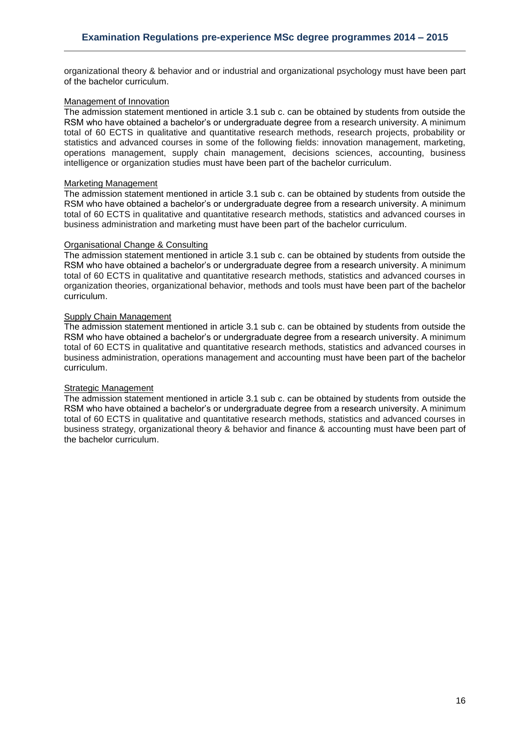organizational theory & behavior and or industrial and organizational psychology must have been part of the bachelor curriculum.

### Management of Innovation

The admission statement mentioned in article 3.1 sub c. can be obtained by students from outside the RSM who have obtained a bachelor's or undergraduate degree from a research university. A minimum total of 60 ECTS in qualitative and quantitative research methods, research projects, probability or statistics and advanced courses in some of the following fields: innovation management, marketing, operations management, supply chain management, decisions sciences, accounting, business intelligence or organization studies must have been part of the bachelor curriculum.

### Marketing Management

The admission statement mentioned in article 3.1 sub c. can be obtained by students from outside the RSM who have obtained a bachelor's or undergraduate degree from a research university. A minimum total of 60 ECTS in qualitative and quantitative research methods, statistics and advanced courses in business administration and marketing must have been part of the bachelor curriculum.

# Organisational Change & Consulting

The admission statement mentioned in article 3.1 sub c. can be obtained by students from outside the RSM who have obtained a bachelor's or undergraduate degree from a research university. A minimum total of 60 ECTS in qualitative and quantitative research methods, statistics and advanced courses in organization theories, organizational behavior, methods and tools must have been part of the bachelor curriculum.

### Supply Chain Management

The admission statement mentioned in article 3.1 sub c. can be obtained by students from outside the RSM who have obtained a bachelor's or undergraduate degree from a research university. A minimum total of 60 ECTS in qualitative and quantitative research methods, statistics and advanced courses in business administration, operations management and accounting must have been part of the bachelor curriculum.

### Strategic Management

The admission statement mentioned in article 3.1 sub c. can be obtained by students from outside the RSM who have obtained a bachelor's or undergraduate degree from a research university. A minimum total of 60 ECTS in qualitative and quantitative research methods, statistics and advanced courses in business strategy, organizational theory & behavior and finance & accounting must have been part of the bachelor curriculum.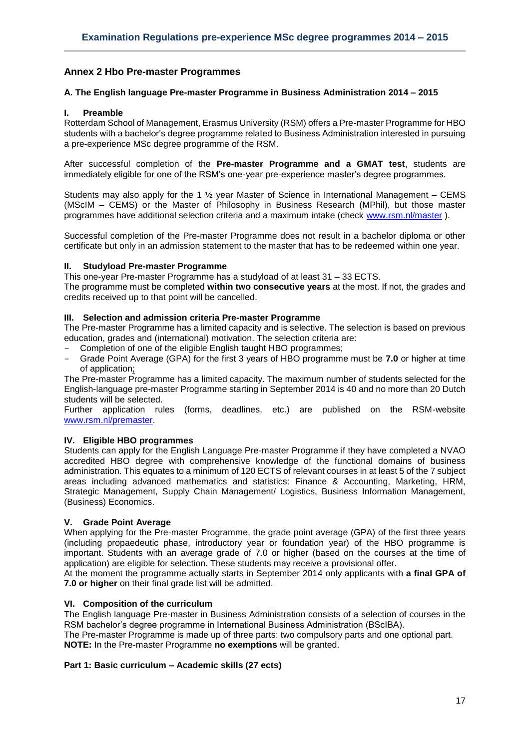# <span id="page-16-0"></span>**Annex 2 Hbo Pre-master Programmes**

### <span id="page-16-1"></span>**A. The English language Pre-master Programme in Business Administration 2014 – 2015**

### **I. Preamble**

Rotterdam School of Management, Erasmus University (RSM) offers a Pre-master Programme for HBO students with a bachelor's degree programme related to Business Administration interested in pursuing a pre-experience MSc degree programme of the RSM.

After successful completion of the **Pre-master Programme and a GMAT test**, students are immediately eligible for one of the RSM's one-year pre-experience master's degree programmes.

Students may also apply for the 1  $\frac{1}{2}$  year Master of Science in International Management – CEMS (MScIM – CEMS) or the Master of Philosophy in Business Research (MPhil), but those master programmes have additional selection criteria and a maximum intake (check [www.rsm.nl/master](http://www.rsm.nl/master) ).

Successful completion of the Pre-master Programme does not result in a bachelor diploma or other certificate but only in an admission statement to the master that has to be redeemed within one year.

### **II. Studyload Pre-master Programme**

This one-year Pre-master Programme has a studyload of at least 31 – 33 ECTS.

The programme must be completed **within two consecutive years** at the most. If not, the grades and credits received up to that point will be cancelled.

### **III. Selection and admission criteria Pre-master Programme**

The Pre-master Programme has a limited capacity and is selective. The selection is based on previous education, grades and (international) motivation. The selection criteria are:

- Completion of one of the eligible English taught HBO programmes;
- Grade Point Average (GPA) for the first 3 years of HBO programme must be **7.0** or higher at time of application;

The Pre-master Programme has a limited capacity. The maximum number of students selected for the English-language pre-master Programme starting in September 2014 is 40 and no more than 20 Dutch students will be selected.

Further application rules (forms, deadlines, etc.) are published on the RSM-website [www.rsm.nl/premaster.](http://www.rsm.nl/premaster)

# **IV. Eligible HBO programmes**

Students can apply for the English Language Pre-master Programme if they have completed a NVAO accredited HBO degree with comprehensive knowledge of the functional domains of business administration. This equates to a minimum of 120 ECTS of relevant courses in at least 5 of the 7 subject areas including advanced mathematics and statistics: Finance & Accounting, Marketing, HRM, Strategic Management, Supply Chain Management/ Logistics, Business Information Management, (Business) Economics.

# **V. Grade Point Average**

When applying for the Pre-master Programme, the grade point average (GPA) of the first three years (including propaedeutic phase, introductory year or foundation year) of the HBO programme is important. Students with an average grade of 7.0 or higher (based on the courses at the time of application) are eligible for selection. These students may receive a provisional offer.

At the moment the programme actually starts in September 2014 only applicants with **a final GPA of 7.0 or higher** on their final grade list will be admitted.

### **VI. Composition of the curriculum**

The English language Pre-master in Business Administration consists of a selection of courses in the RSM bachelor's degree programme in International Business Administration (BScIBA).

The Pre-master Programme is made up of three parts: two compulsory parts and one optional part. **NOTE:** In the Pre-master Programme **no exemptions** will be granted.

# **Part 1: Basic curriculum – Academic skills (27 ects)**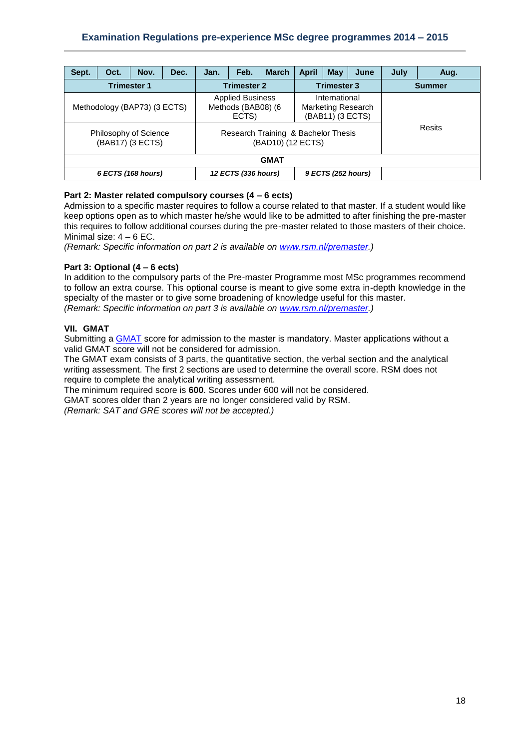| Sept.                                                                     | Oct. | Nov. | Dec. | Jan.                                                                                                               | Feb.                | <b>March</b> | <b>April</b>                                                   | May | June | July          | Aug. |  |
|---------------------------------------------------------------------------|------|------|------|--------------------------------------------------------------------------------------------------------------------|---------------------|--------------|----------------------------------------------------------------|-----|------|---------------|------|--|
| <b>Trimester 1</b>                                                        |      |      |      | <b>Trimester 2</b>                                                                                                 |                     |              | <b>Trimester 3</b>                                             |     |      | <b>Summer</b> |      |  |
| Methodology (BAP73) (3 ECTS)<br>Philosophy of Science<br>(BAB17) (3 ECTS) |      |      |      | <b>Applied Business</b><br>Methods (BAB08) (6<br>ECTS)<br>Research Training & Bachelor Thesis<br>(BAD10) (12 ECTS) |                     |              | International<br><b>Marketing Research</b><br>(BAB11) (3 ECTS) |     |      | Resits        |      |  |
| <b>GMAT</b>                                                               |      |      |      |                                                                                                                    |                     |              |                                                                |     |      |               |      |  |
| 6 ECTS (168 hours)                                                        |      |      |      |                                                                                                                    | 12 ECTS (336 hours) |              | 9 ECTS (252 hours)                                             |     |      |               |      |  |

# **Part 2: Master related compulsory courses (4 – 6 ects)**

Admission to a specific master requires to follow a course related to that master. If a student would like keep options open as to which master he/she would like to be admitted to after finishing the pre-master this requires to follow additional courses during the pre-master related to those masters of their choice. Minimal size:  $4 - 6$  EC.

*(Remark: Specific information on part 2 is available on [www.rsm.nl/premaster.](http://www.rsm.nl/premaster))*

# **Part 3: Optional (4 – 6 ects)**

In addition to the compulsory parts of the Pre-master Programme most MSc programmes recommend to follow an extra course. This optional course is meant to give some extra in-depth knowledge in the specialty of the master or to give some broadening of knowledge useful for this master. *(Remark: Specific information on part 3 is available on [www.rsm.nl/premaster.](http://www.rsm.nl/premaster))*

# **VII. GMAT**

Submitting a [GMAT](http://www.mba.com/) score for admission to the master is mandatory. Master applications without a valid GMAT score will not be considered for admission.

The GMAT exam consists of 3 parts, the quantitative section, the verbal section and the analytical writing assessment. The first 2 sections are used to determine the overall score. RSM does not require to complete the analytical writing assessment.

The minimum required score is **600**. Scores under 600 will not be considered.

GMAT scores older than 2 years are no longer considered valid by RSM.

*(Remark: SAT and GRE scores will not be accepted.)*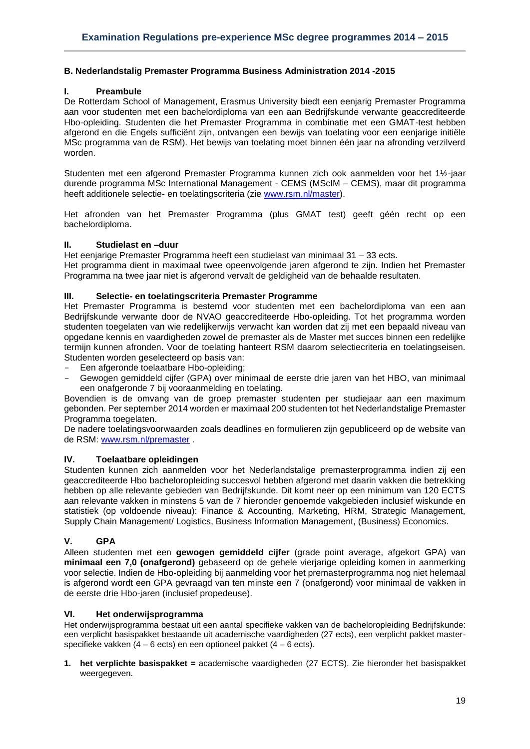### <span id="page-18-0"></span>**B. Nederlandstalig Premaster Programma Business Administration 2014 -2015**

### **I. Preambule**

De Rotterdam School of Management, Erasmus University biedt een eenjarig Premaster Programma aan voor studenten met een bachelordiploma van een aan Bedrijfskunde verwante geaccrediteerde Hbo-opleiding. Studenten die het Premaster Programma in combinatie met een GMAT-test hebben afgerond en die Engels sufficiënt zijn, ontvangen een bewijs van toelating voor een eenjarige initiële MSc programma van de RSM). Het bewijs van toelating moet binnen één jaar na afronding verzilverd worden.

Studenten met een afgerond Premaster Programma kunnen zich ook aanmelden voor het 1½-jaar durende programma MSc International Management - CEMS (MScIM – CEMS), maar dit programma heeft additionele selectie- en toelatingscriteria (zie [www.rsm.nl/master\)](http://www.rsm.nl/master).

Het afronden van het Premaster Programma (plus GMAT test) geeft géén recht op een bachelordiploma.

### **II. Studielast en –duur**

Het eenjarige Premaster Programma heeft een studielast van minimaal 31 – 33 ects. Het programma dient in maximaal twee opeenvolgende jaren afgerond te zijn. Indien het Premaster Programma na twee jaar niet is afgerond vervalt de geldigheid van de behaalde resultaten.

### **III. Selectie- en toelatingscriteria Premaster Programme**

Het Premaster Programma is bestemd voor studenten met een bachelordiploma van een aan Bedrijfskunde verwante door de NVAO geaccrediteerde Hbo-opleiding. Tot het programma worden studenten toegelaten van wie redelijkerwijs verwacht kan worden dat zij met een bepaald niveau van opgedane kennis en vaardigheden zowel de premaster als de Master met succes binnen een redelijke termijn kunnen afronden. Voor de toelating hanteert RSM daarom selectiecriteria en toelatingseisen. Studenten worden geselecteerd op basis van:

- Een afgeronde toelaatbare Hbo-opleiding:
- Gewogen gemiddeld cijfer (GPA) over minimaal de eerste drie jaren van het HBO, van minimaal een onafgeronde 7 bij vooraanmelding en toelating.

Bovendien is de omvang van de groep premaster studenten per studiejaar aan een maximum gebonden. Per september 2014 worden er maximaal 200 studenten tot het Nederlandstalige Premaster Programma toegelaten.

De nadere toelatingsvoorwaarden zoals deadlines en formulieren zijn gepubliceerd op de website van de RSM: [www.rsm.nl/premaster](http://www.rsm.nl/premaster) .

### **IV. Toelaatbare opleidingen**

Studenten kunnen zich aanmelden voor het Nederlandstalige premasterprogramma indien zij een geaccrediteerde Hbo bacheloropleiding succesvol hebben afgerond met daarin vakken die betrekking hebben op alle relevante gebieden van Bedrijfskunde. Dit komt neer op een minimum van 120 ECTS aan relevante vakken in minstens 5 van de 7 hieronder genoemde vakgebieden inclusief wiskunde en statistiek (op voldoende niveau): Finance & Accounting, Marketing, HRM, Strategic Management, Supply Chain Management/ Logistics, Business Information Management, (Business) Economics.

# **V. GPA**

Alleen studenten met een **gewogen gemiddeld cijfer** (grade point average, afgekort GPA) van **minimaal een 7,0 (onafgerond)** gebaseerd op de gehele vierjarige opleiding komen in aanmerking voor selectie. Indien de Hbo-opleiding bij aanmelding voor het premasterprogramma nog niet helemaal is afgerond wordt een GPA gevraagd van ten minste een 7 (onafgerond) voor minimaal de vakken in de eerste drie Hbo-jaren (inclusief propedeuse).

### **VI. Het onderwijsprogramma**

Het onderwijsprogramma bestaat uit een aantal specifieke vakken van de bacheloropleiding Bedrijfskunde: een verplicht basispakket bestaande uit academische vaardigheden (27 ects), een verplicht pakket masterspecifieke vakken (4 – 6 ects) en een optioneel pakket (4 – 6 ects).

**1. het verplichte basispakket =** academische vaardigheden (27 ECTS). Zie hieronder het basispakket weergegeven.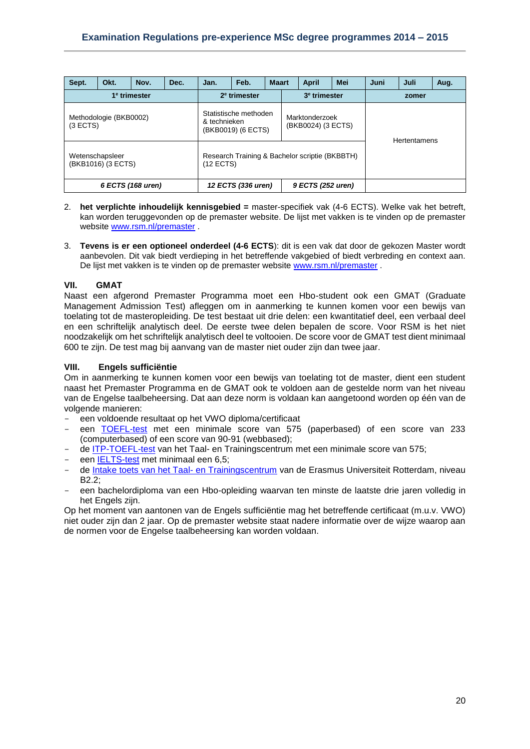| Sept.                                 | Okt.                     | Nov.                     | Dec.                                        | Jan.                                                          | Feb.                                 | <b>Maart</b> |  | <b>April</b>        | Mei | Juni | Juli | Aug. |
|---------------------------------------|--------------------------|--------------------------|---------------------------------------------|---------------------------------------------------------------|--------------------------------------|--------------|--|---------------------|-----|------|------|------|
|                                       | 1 <sup>e</sup> trimester | 2 <sup>e</sup> trimester |                                             |                                                               | 3 <sup>e</sup> trimester             |              |  | zomer               |     |      |      |      |
| (3 ECTS)                              | Methodologie (BKB0002)   | & technieken             | Statistische methoden<br>(BKB0019) (6 ECTS) |                                                               | Marktonderzoek<br>(BKB0024) (3 ECTS) |              |  | <b>Hertentamens</b> |     |      |      |      |
| Wetenschapsleer<br>(BKB1016) (3 ECTS) |                          |                          |                                             | Research Training & Bachelor scriptie (BKBBTH)<br>$(12$ ECTS) |                                      |              |  |                     |     |      |      |      |
| 6 ECTS (168 uren)                     |                          |                          |                                             | 12 ECTS (336 uren)<br>9 ECTS (252 uren)                       |                                      |              |  |                     |     |      |      |      |

- 2. **het verplichte inhoudelijk kennisgebied =** master-specifiek vak (4-6 ECTS). Welke vak het betreft, kan worden teruggevonden op de premaster website. De lijst met vakken is te vinden op de premaster website [www.rsm.nl/premaster](http://www.rsm.nl/premaster) .
- 3. **Tevens is er een optioneel onderdeel (4-6 ECTS**): dit is een vak dat door de gekozen Master wordt aanbevolen. Dit vak biedt verdieping in het betreffende vakgebied of biedt verbreding en context aan. De lijst met vakken is te vinden op de premaster website [www.rsm.nl/premaster](http://www.rsm.nl/premaster) .

# **VII. GMAT**

Naast een afgerond Premaster Programma moet een Hbo-student ook een GMAT (Graduate Management Admission Test) afleggen om in aanmerking te kunnen komen voor een bewijs van toelating tot de masteropleiding. De test bestaat uit drie delen: een kwantitatief deel, een verbaal deel en een schriftelijk analytisch deel. De eerste twee delen bepalen de score. Voor RSM is het niet noodzakelijk om het schriftelijk analytisch deel te voltooien. De score voor de GMAT test dient minimaal 600 te zijn. De test mag bij aanvang van de master niet ouder zijn dan twee jaar.

# **VIII. Engels sufficiëntie**

Om in aanmerking te kunnen komen voor een bewijs van toelating tot de master, dient een student naast het Premaster Programma en de GMAT ook te voldoen aan de gestelde norm van het niveau van de Engelse taalbeheersing. Dat aan deze norm is voldaan kan aangetoond worden op één van de volgende manieren:

- een voldoende resultaat op het VWO diploma/certificaat
- een [TOEFL-test](http://www.toefl.org/) met een minimale score van 575 (paperbased) of een score van 233 (computerbased) of een score van 90-91 (webbased);
- de [ITP-TOEFL-test](http://www.eur.nl/ttc/taaltoets/toefl) van het Taal- en Trainingscentrum met een minimale score van 575;
- een [IELTS-test](http://www.ielts.org/) met minimaal een 6,5;
- de [Intake toets van het Taal-](http://www.eur.nl/ttc/taaltoets/test/) en Trainingscentrum van de Erasmus Universiteit Rotterdam, niveau B2.2;
- een bachelordiploma van een Hbo-opleiding waarvan ten minste de laatste drie jaren volledig in het Engels zijn.

Op het moment van aantonen van de Engels sufficiëntie mag het betreffende certificaat (m.u.v. VWO) niet ouder zijn dan 2 jaar. Op de premaster website staat nadere informatie over de wijze waarop aan de normen voor de Engelse taalbeheersing kan worden voldaan.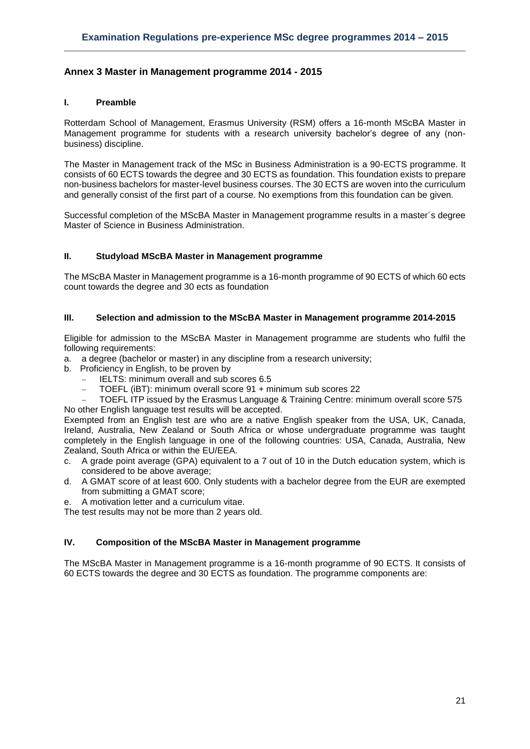# <span id="page-20-0"></span>**Annex 3 Master in Management programme 2014 - 2015**

### **I. Preamble**

Rotterdam School of Management, Erasmus University (RSM) offers a 16-month MScBA Master in Management programme for students with a research university bachelor's degree of any (nonbusiness) discipline.

The Master in Management track of the MSc in Business Administration is a 90-ECTS programme. It consists of 60 ECTS towards the degree and 30 ECTS as foundation. This foundation exists to prepare non-business bachelors for master-level business courses. The 30 ECTS are woven into the curriculum and generally consist of the first part of a course. No exemptions from this foundation can be given.

Successful completion of the MScBA Master in Management programme results in a master´s degree Master of Science in Business Administration.

### **II. Studyload MScBA Master in Management programme**

The MScBA Master in Management programme is a 16-month programme of 90 ECTS of which 60 ects count towards the degree and 30 ects as foundation

### **III. Selection and admission to the MScBA Master in Management programme 2014-2015**

Eligible for admission to the MScBA Master in Management programme are students who fulfil the following requirements:

- a. a degree (bachelor or master) in any discipline from a research university;
- b. Proficiency in English, to be proven by
	- IELTS: minimum overall and sub scores 6.5
	- TOEFL (iBT): minimum overall score 91 + minimum sub scores 22

 TOEFL ITP issued by the Erasmus Language & Training Centre: minimum overall score 575 No other English language test results will be accepted.

Exempted from an English test are who are a native English speaker from the USA, UK, Canada, Ireland, Australia, New Zealand or South Africa or whose undergraduate programme was taught completely in the English language in one of the following countries: USA, Canada, Australia, New Zealand, South Africa or within the EU/EEA.

- c. A grade point average (GPA) equivalent to a 7 out of 10 in the Dutch education system, which is considered to be above average;
- d. A GMAT score of at least 600. Only students with a bachelor degree from the EUR are exempted from submitting a GMAT score;
- e. A motivation letter and a curriculum vitae.

The test results may not be more than 2 years old.

# **IV. Composition of the MScBA Master in Management programme**

The MScBA Master in Management programme is a 16-month programme of 90 ECTS. It consists of 60 ECTS towards the degree and 30 ECTS as foundation. The programme components are: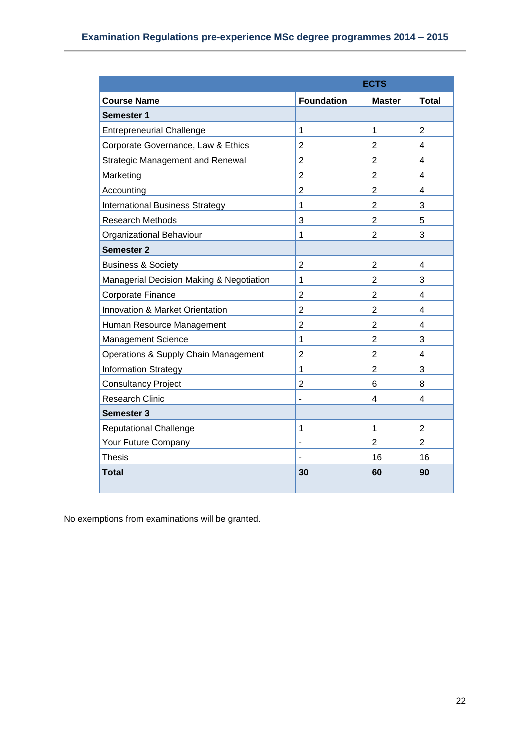|                                          | <b>ECTS</b>       |                |                |  |  |  |
|------------------------------------------|-------------------|----------------|----------------|--|--|--|
| <b>Course Name</b>                       | <b>Foundation</b> | <b>Master</b>  | <b>Total</b>   |  |  |  |
| Semester 1                               |                   |                |                |  |  |  |
| <b>Entrepreneurial Challenge</b>         | 1                 | 1              | $\overline{2}$ |  |  |  |
| Corporate Governance, Law & Ethics       | $\overline{2}$    | $\overline{2}$ | 4              |  |  |  |
| <b>Strategic Management and Renewal</b>  | $\overline{2}$    | $\overline{2}$ | 4              |  |  |  |
| Marketing                                | $\overline{2}$    | $\overline{2}$ | 4              |  |  |  |
| Accounting                               | $\overline{2}$    | $\overline{2}$ | 4              |  |  |  |
| <b>International Business Strategy</b>   | 1                 | $\overline{2}$ | 3              |  |  |  |
| <b>Research Methods</b>                  | 3                 | $\overline{2}$ | 5              |  |  |  |
| Organizational Behaviour                 | 1                 | $\overline{2}$ | 3              |  |  |  |
| <b>Semester 2</b>                        |                   |                |                |  |  |  |
| <b>Business &amp; Society</b>            | $\overline{2}$    | $\overline{2}$ | 4              |  |  |  |
| Managerial Decision Making & Negotiation | 1                 | $\overline{2}$ | 3              |  |  |  |
| Corporate Finance                        | $\overline{2}$    | $\overline{2}$ | 4              |  |  |  |
| Innovation & Market Orientation          | $\overline{2}$    | 2              | 4              |  |  |  |
| Human Resource Management                | $\overline{2}$    | $\overline{2}$ | 4              |  |  |  |
| <b>Management Science</b>                | 1                 | $\overline{2}$ | 3              |  |  |  |
| Operations & Supply Chain Management     | $\overline{2}$    | $\overline{2}$ | 4              |  |  |  |
| <b>Information Strategy</b>              | 1                 | $\overline{2}$ | 3              |  |  |  |
| <b>Consultancy Project</b>               | $\overline{2}$    | 6              | 8              |  |  |  |
| <b>Research Clinic</b>                   | $\overline{a}$    | 4              | 4              |  |  |  |
| Semester 3                               |                   |                |                |  |  |  |
| <b>Reputational Challenge</b>            | 1                 | 1              | $\overline{2}$ |  |  |  |
| Your Future Company                      | ÷                 | 2              | 2              |  |  |  |
| <b>Thesis</b>                            |                   | 16             | 16             |  |  |  |
| <b>Total</b>                             | 30                | 60             | 90             |  |  |  |
|                                          |                   |                |                |  |  |  |

No exemptions from examinations will be granted.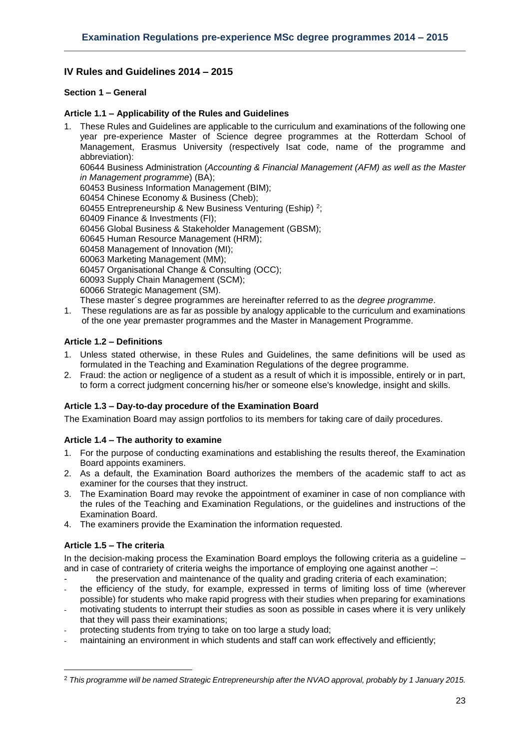# <span id="page-22-0"></span>**IV Rules and Guidelines 2014 – 2015**

# <span id="page-22-2"></span><span id="page-22-1"></span>**Section 1 – General**

# **Article 1.1 – Applicability of the Rules and Guidelines**

- 1. These Rules and Guidelines are applicable to the curriculum and examinations of the following one year pre-experience Master of Science degree programmes at the Rotterdam School of Management, Erasmus University (respectively Isat code, name of the programme and abbreviation): 60644 Business Administration (*Accounting & Financial Management (AFM) as well as the Master in Management programme*) (BA); 60453 Business Information Management (BIM); 60454 Chinese Economy & Business (Cheb); 60455 Entrepreneurship & New Business Venturing (Eship) <sup>2</sup>; 60409 Finance & Investments (FI); 60456 Global Business & Stakeholder Management (GBSM); 60645 Human Resource Management (HRM); 60458 Management of Innovation (MI); 60063 Marketing Management (MM); 60457 Organisational Change & Consulting (OCC); 60093 Supply Chain Management (SCM); 60066 Strategic Management (SM). These master´s degree programmes are hereinafter referred to as the *degree programme*.
- 1. These regulations are as far as possible by analogy applicable to the curriculum and examinations of the one year premaster programmes and the Master in Management Programme.

# <span id="page-22-3"></span>**Article 1.2 – Definitions**

- 1. Unless stated otherwise, in these Rules and Guidelines, the same definitions will be used as formulated in the Teaching and Examination Regulations of the degree programme.
- 2. Fraud: the action or negligence of a student as a result of which it is impossible, entirely or in part, to form a correct judgment concerning his/her or someone else's knowledge, insight and skills.

# <span id="page-22-4"></span>**Article 1.3 – Day-to-day procedure of the Examination Board**

<span id="page-22-5"></span>The Examination Board may assign portfolios to its members for taking care of daily procedures.

# **Article 1.4 – The authority to examine**

- 1. For the purpose of conducting examinations and establishing the results thereof, the Examination Board appoints examiners.
- 2. As a default, the Examination Board authorizes the members of the academic staff to act as examiner for the courses that they instruct.
- 3. The Examination Board may revoke the appointment of examiner in case of non compliance with the rules of the Teaching and Examination Regulations, or the guidelines and instructions of the Examination Board.
- <span id="page-22-6"></span>4. The examiners provide the Examination the information requested.

# **Article 1.5 – The criteria**

**.** 

In the decision-making process the Examination Board employs the following criteria as a guideline – and in case of contrariety of criteria weighs the importance of employing one against another -:

- the preservation and maintenance of the quality and grading criteria of each examination;
- the efficiency of the study, for example, expressed in terms of limiting loss of time (wherever possible) for students who make rapid progress with their studies when preparing for examinations
- motivating students to interrupt their studies as soon as possible in cases where it is very unlikely that they will pass their examinations;
- protecting students from trying to take on too large a study load;
- maintaining an environment in which students and staff can work effectively and efficiently;

<sup>2</sup> *This programme will be named Strategic Entrepreneurship after the NVAO approval, probably by 1 January 2015.*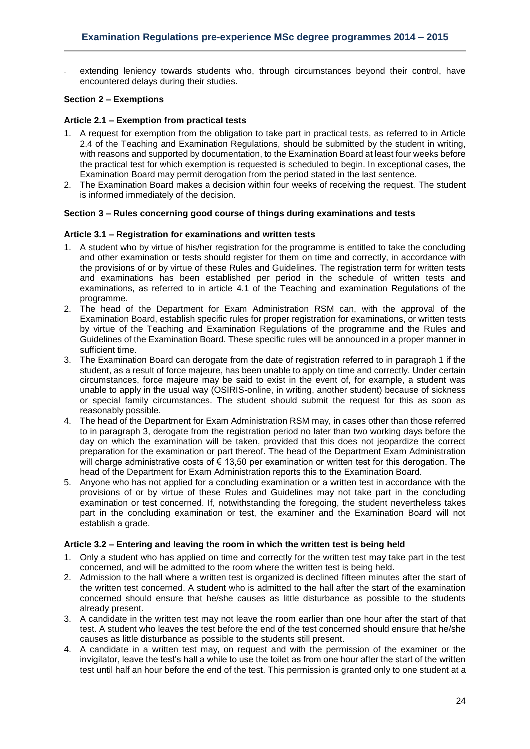extending leniency towards students who, through circumstances beyond their control, have encountered delays during their studies.

### <span id="page-23-1"></span><span id="page-23-0"></span>**Section 2 – Exemptions**

### **Article 2.1 – Exemption from practical tests**

- 1. A request for exemption from the obligation to take part in practical tests, as referred to in Article 2.4 of the Teaching and Examination Regulations, should be submitted by the student in writing, with reasons and supported by documentation, to the Examination Board at least four weeks before the practical test for which exemption is requested is scheduled to begin. In exceptional cases, the Examination Board may permit derogation from the period stated in the last sentence.
- 2. The Examination Board makes a decision within four weeks of receiving the request. The student is informed immediately of the decision.

### <span id="page-23-3"></span><span id="page-23-2"></span>**Section 3 – Rules concerning good course of things during examinations and tests**

### **Article 3.1 – Registration for examinations and written tests**

- 1. A student who by virtue of his/her registration for the programme is entitled to take the concluding and other examination or tests should register for them on time and correctly, in accordance with the provisions of or by virtue of these Rules and Guidelines. The registration term for written tests and examinations has been established per period in the schedule of written tests and examinations, as referred to in article 4.1 of the Teaching and examination Regulations of the programme.
- 2. The head of the Department for Exam Administration RSM can, with the approval of the Examination Board, establish specific rules for proper registration for examinations, or written tests by virtue of the Teaching and Examination Regulations of the programme and the Rules and Guidelines of the Examination Board. These specific rules will be announced in a proper manner in sufficient time.
- 3. The Examination Board can derogate from the date of registration referred to in paragraph 1 if the student, as a result of force majeure, has been unable to apply on time and correctly. Under certain circumstances, force majeure may be said to exist in the event of, for example, a student was unable to apply in the usual way (OSIRIS-online, in writing, another student) because of sickness or special family circumstances. The student should submit the request for this as soon as reasonably possible.
- 4. The head of the Department for Exam Administration RSM may, in cases other than those referred to in paragraph 3, derogate from the registration period no later than two working days before the day on which the examination will be taken, provided that this does not jeopardize the correct preparation for the examination or part thereof. The head of the Department Exam Administration will charge administrative costs of € 13,50 per examination or written test for this derogation. The head of the Department for Exam Administration reports this to the Examination Board.
- 5. Anyone who has not applied for a concluding examination or a written test in accordance with the provisions of or by virtue of these Rules and Guidelines may not take part in the concluding examination or test concerned. If, notwithstanding the foregoing, the student nevertheless takes part in the concluding examination or test, the examiner and the Examination Board will not establish a grade.

### <span id="page-23-4"></span>**Article 3.2 – Entering and leaving the room in which the written test is being held**

- 1. Only a student who has applied on time and correctly for the written test may take part in the test concerned, and will be admitted to the room where the written test is being held.
- 2. Admission to the hall where a written test is organized is declined fifteen minutes after the start of the written test concerned. A student who is admitted to the hall after the start of the examination concerned should ensure that he/she causes as little disturbance as possible to the students already present.
- 3. A candidate in the written test may not leave the room earlier than one hour after the start of that test. A student who leaves the test before the end of the test concerned should ensure that he/she causes as little disturbance as possible to the students still present.
- 4. A candidate in a written test may, on request and with the permission of the examiner or the invigilator, leave the test's hall a while to use the toilet as from one hour after the start of the written test until half an hour before the end of the test. This permission is granted only to one student at a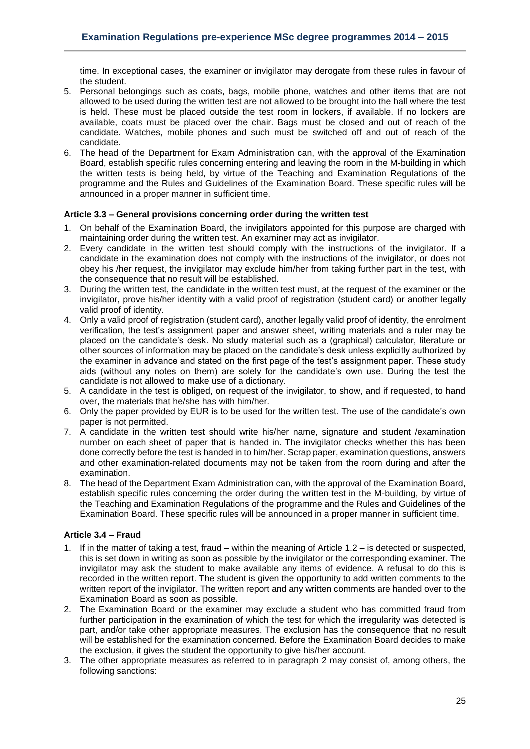time. In exceptional cases, the examiner or invigilator may derogate from these rules in favour of the student.

- 5. Personal belongings such as coats, bags, mobile phone, watches and other items that are not allowed to be used during the written test are not allowed to be brought into the hall where the test is held. These must be placed outside the test room in lockers, if available. If no lockers are available, coats must be placed over the chair. Bags must be closed and out of reach of the candidate. Watches, mobile phones and such must be switched off and out of reach of the candidate.
- 6. The head of the Department for Exam Administration can, with the approval of the Examination Board, establish specific rules concerning entering and leaving the room in the M-building in which the written tests is being held, by virtue of the Teaching and Examination Regulations of the programme and the Rules and Guidelines of the Examination Board. These specific rules will be announced in a proper manner in sufficient time.

### <span id="page-24-0"></span>**Article 3.3 – General provisions concerning order during the written test**

- 1. On behalf of the Examination Board, the invigilators appointed for this purpose are charged with maintaining order during the written test. An examiner may act as invigilator.
- 2. Every candidate in the written test should comply with the instructions of the invigilator. If a candidate in the examination does not comply with the instructions of the invigilator, or does not obey his /her request, the invigilator may exclude him/her from taking further part in the test, with the consequence that no result will be established.
- 3. During the written test, the candidate in the written test must, at the request of the examiner or the invigilator, prove his/her identity with a valid proof of registration (student card) or another legally valid proof of identity.
- 4. Only a valid proof of registration (student card), another legally valid proof of identity, the enrolment verification, the test's assignment paper and answer sheet, writing materials and a ruler may be placed on the candidate's desk. No study material such as a (graphical) calculator, literature or other sources of information may be placed on the candidate's desk unless explicitly authorized by the examiner in advance and stated on the first page of the test's assignment paper. These study aids (without any notes on them) are solely for the candidate's own use. During the test the candidate is not allowed to make use of a dictionary.
- 5. A candidate in the test is obliged, on request of the invigilator, to show, and if requested, to hand over, the materials that he/she has with him/her.
- 6. Only the paper provided by EUR is to be used for the written test. The use of the candidate's own paper is not permitted.
- 7. A candidate in the written test should write his/her name, signature and student /examination number on each sheet of paper that is handed in. The invigilator checks whether this has been done correctly before the test is handed in to him/her. Scrap paper, examination questions, answers and other examination-related documents may not be taken from the room during and after the examination.
- 8. The head of the Department Exam Administration can, with the approval of the Examination Board, establish specific rules concerning the order during the written test in the M-building, by virtue of the Teaching and Examination Regulations of the programme and the Rules and Guidelines of the Examination Board. These specific rules will be announced in a proper manner in sufficient time.

### <span id="page-24-1"></span>**Article 3.4 – Fraud**

- 1. If in the matter of taking a test, fraud within the meaning of Article 1.2 is detected or suspected, this is set down in writing as soon as possible by the invigilator or the corresponding examiner. The invigilator may ask the student to make available any items of evidence. A refusal to do this is recorded in the written report. The student is given the opportunity to add written comments to the written report of the invigilator. The written report and any written comments are handed over to the Examination Board as soon as possible.
- 2. The Examination Board or the examiner may exclude a student who has committed fraud from further participation in the examination of which the test for which the irregularity was detected is part, and/or take other appropriate measures. The exclusion has the consequence that no result will be established for the examination concerned. Before the Examination Board decides to make the exclusion, it gives the student the opportunity to give his/her account.
- 3. The other appropriate measures as referred to in paragraph 2 may consist of, among others, the following sanctions: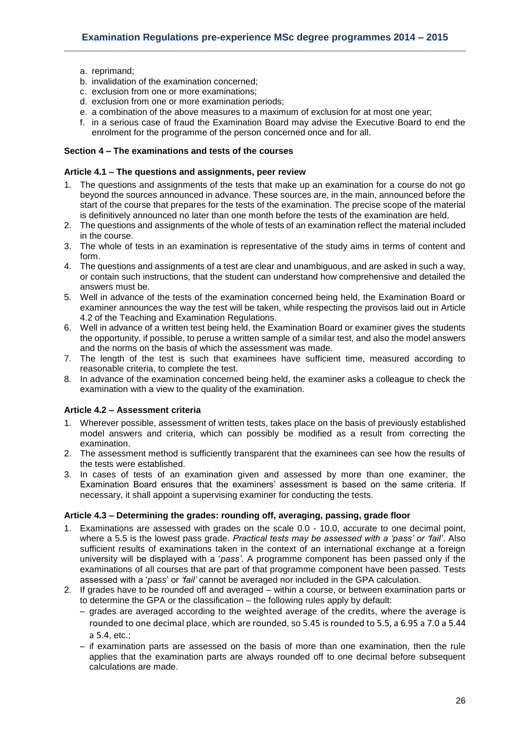- a. reprimand;
- b. invalidation of the examination concerned;
- c. exclusion from one or more examinations;
- d. exclusion from one or more examination periods;
- e. a combination of the above measures to a maximum of exclusion for at most one year;
- f. in a serious case of fraud the Examination Board may advise the Executive Board to end the enrolment for the programme of the person concerned once and for all.

# <span id="page-25-1"></span><span id="page-25-0"></span>**Section 4 – The examinations and tests of the courses**

### **Article 4.1 – The questions and assignments, peer review**

- 1. The questions and assignments of the tests that make up an examination for a course do not go beyond the sources announced in advance. These sources are, in the main, announced before the start of the course that prepares for the tests of the examination. The precise scope of the material is definitively announced no later than one month before the tests of the examination are held.
- 2. The questions and assignments of the whole of tests of an examination reflect the material included in the course.
- 3. The whole of tests in an examination is representative of the study aims in terms of content and form.
- 4. The questions and assignments of a test are clear and unambiguous, and are asked in such a way, or contain such instructions, that the student can understand how comprehensive and detailed the answers must be.
- 5. Well in advance of the tests of the examination concerned being held, the Examination Board or examiner announces the way the test will be taken, while respecting the provisos laid out in Article 4.2 of the Teaching and Examination Regulations.
- 6. Well in advance of a written test being held, the Examination Board or examiner gives the students the opportunity, if possible, to peruse a written sample of a similar test, and also the model answers and the norms on the basis of which the assessment was made.
- 7. The length of the test is such that examinees have sufficient time, measured according to reasonable criteria, to complete the test.
- 8. In advance of the examination concerned being held, the examiner asks a colleague to check the examination with a view to the quality of the examination.

### <span id="page-25-2"></span>**Article 4.2 – Assessment criteria**

- 1. Wherever possible, assessment of written tests, takes place on the basis of previously established model answers and criteria, which can possibly be modified as a result from correcting the examination.
- 2. The assessment method is sufficiently transparent that the examinees can see how the results of the tests were established.
- 3. In cases of tests of an examination given and assessed by more than one examiner, the Examination Board ensures that the examiners' assessment is based on the same criteria. If necessary, it shall appoint a supervising examiner for conducting the tests.

### <span id="page-25-3"></span>**Article 4.3 – Determining the grades: rounding off, averaging, passing, grade floor**

- 1. Examinations are assessed with grades on the scale 0.0 10.0, accurate to one decimal point, where a 5.5 is the lowest pass grade*. Practical tests may be assessed with a 'pass' or 'fail'*. Also sufficient results of examinations taken in the context of an international exchange at a foreign university will be displayed with a '*pass'*. A programme component has been passed only if the examinations of all courses that are part of that programme component have been passed. Tests assessed with a '*pass*' or *'fail'* cannot be averaged nor included in the GPA calculation.
- 2. If grades have to be rounded off and averaged within a course, or between examination parts or to determine the GPA or the classification – the following rules apply by default:
	- grades are averaged according to the weighted average of the credits, where the average is rounded to one decimal place, which are rounded, so 5.45 is rounded to 5.5, a 6.95 a 7.0 a 5.44 a 5.4, etc.;
	- if examination parts are assessed on the basis of more than one examination, then the rule applies that the examination parts are always rounded off to one decimal before subsequent calculations are made.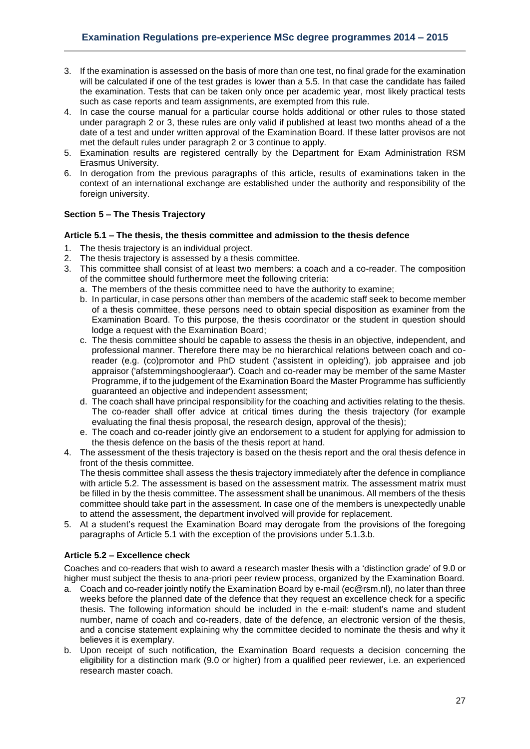- 3. If the examination is assessed on the basis of more than one test, no final grade for the examination will be calculated if one of the test grades is lower than a 5.5. In that case the candidate has failed the examination. Tests that can be taken only once per academic year, most likely practical tests such as case reports and team assignments, are exempted from this rule.
- 4. In case the course manual for a particular course holds additional or other rules to those stated under paragraph 2 or 3, these rules are only valid if published at least two months ahead of a the date of a test and under written approval of the Examination Board. If these latter provisos are not met the default rules under paragraph 2 or 3 continue to apply.
- 5. Examination results are registered centrally by the Department for Exam Administration RSM Erasmus University.
- 6. In derogation from the previous paragraphs of this article, results of examinations taken in the context of an international exchange are established under the authority and responsibility of the foreign university.

# <span id="page-26-1"></span><span id="page-26-0"></span>**Section 5 – The Thesis Trajectory**

### **Article 5.1 – The thesis, the thesis committee and admission to the thesis defence**

- 1. The thesis trajectory is an individual project.
- 2. The thesis trajectory is assessed by a thesis committee.
- 3. This committee shall consist of at least two members: a coach and a co-reader. The composition of the committee should furthermore meet the following criteria:
	- a. The members of the thesis committee need to have the authority to examine;
	- b. In particular, in case persons other than members of the academic staff seek to become member of a thesis committee, these persons need to obtain special disposition as examiner from the Examination Board. To this purpose, the thesis coordinator or the student in question should lodge a request with the Examination Board;
	- c. The thesis committee should be capable to assess the thesis in an objective, independent, and professional manner. Therefore there may be no hierarchical relations between coach and coreader (e.g. (co)promotor and PhD student ('assistent in opleiding'), job appraisee and job appraisor ('afstemmingshoogleraar'). Coach and co-reader may be member of the same Master Programme, if to the judgement of the Examination Board the Master Programme has sufficiently guaranteed an objective and independent assessment;
	- d. The coach shall have principal responsibility for the coaching and activities relating to the thesis. The co-reader shall offer advice at critical times during the thesis trajectory (for example evaluating the final thesis proposal, the research design, approval of the thesis);
	- e. The coach and co-reader jointly give an endorsement to a student for applying for admission to the thesis defence on the basis of the thesis report at hand.
- 4. The assessment of the thesis trajectory is based on the thesis report and the oral thesis defence in front of the thesis committee. The thesis committee shall assess the thesis trajectory immediately after the defence in compliance with article 5.2. The assessment is based on the assessment matrix. The assessment matrix must be filled in by the thesis committee. The assessment shall be unanimous. All members of the thesis committee should take part in the assessment. In case one of the members is unexpectedly unable to attend the assessment, the department involved will provide for replacement.
- 5. At a student's request the Examination Board may derogate from the provisions of the foregoing paragraphs of Article 5.1 with the exception of the provisions under 5.1.3.b.

# <span id="page-26-2"></span>**Article 5.2 – Excellence check**

Coaches and co-readers that wish to award a research master thesis with a 'distinction grade' of 9.0 or higher must subject the thesis to ana-priori peer review process, organized by the Examination Board.

- a. Coach and co-reader jointly notify the Examination Board by e-mail [\(ec@rsm.nl\)](mailto:ec@rsm.nl), no later than three weeks before the planned date of the defence that they request an excellence check for a specific thesis. The following information should be included in the e-mail: student's name and student number, name of coach and co-readers, date of the defence, an electronic version of the thesis, and a concise statement explaining why the committee decided to nominate the thesis and why it believes it is exemplary.
- b. Upon receipt of such notification, the Examination Board requests a decision concerning the eligibility for a distinction mark (9.0 or higher) from a qualified peer reviewer, i.e. an experienced research master coach.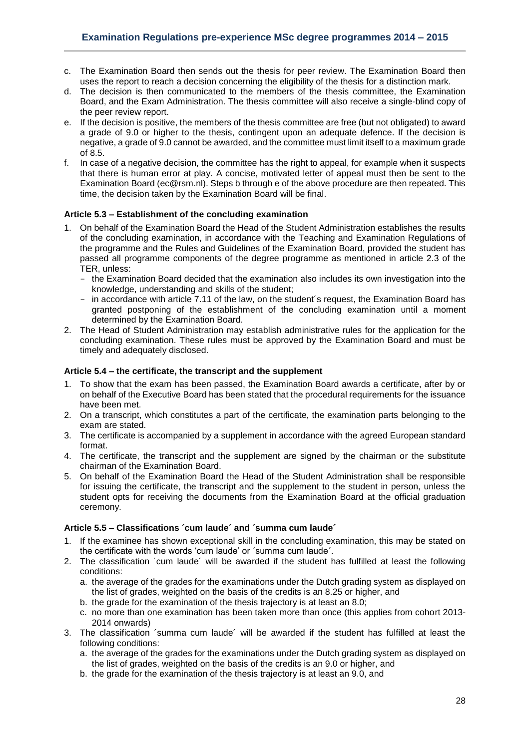- c. The Examination Board then sends out the thesis for peer review. The Examination Board then uses the report to reach a decision concerning the eligibility of the thesis for a distinction mark.
- d. The decision is then communicated to the members of the thesis committee, the Examination Board, and the Exam Administration. The thesis committee will also receive a single-blind copy of the peer review report.
- e. If the decision is positive, the members of the thesis committee are free (but not obligated) to award a grade of 9.0 or higher to the thesis, contingent upon an adequate defence. If the decision is negative, a grade of 9.0 cannot be awarded, and the committee must limit itself to a maximum grade of 8.5.
- f. In case of a negative decision, the committee has the right to appeal, for example when it suspects that there is human error at play. A concise, motivated letter of appeal must then be sent to the Examination Board [\(ec@rsm.nl\)](mailto:ec@rsm.nl). Steps b through e of the above procedure are then repeated. This time, the decision taken by the Examination Board will be final.

### <span id="page-27-0"></span>**Article 5.3 – Establishment of the concluding examination**

- 1. On behalf of the Examination Board the Head of the Student Administration establishes the results of the concluding examination, in accordance with the Teaching and Examination Regulations of the programme and the Rules and Guidelines of the Examination Board, provided the student has passed all programme components of the degree programme as mentioned in article 2.3 of the TER, unless:
	- the Examination Board decided that the examination also includes its own investigation into the knowledge, understanding and skills of the student;
	- in accordance with article 7.11 of the law, on the student's request, the Examination Board has granted postponing of the establishment of the concluding examination until a moment determined by the Examination Board.
- 2. The Head of Student Administration may establish administrative rules for the application for the concluding examination. These rules must be approved by the Examination Board and must be timely and adequately disclosed.

### <span id="page-27-1"></span>**Article 5.4 – the certificate, the transcript and the supplement**

- 1. To show that the exam has been passed, the Examination Board awards a certificate, after by or on behalf of the Executive Board has been stated that the procedural requirements for the issuance have been met.
- 2. On a transcript, which constitutes a part of the certificate, the examination parts belonging to the exam are stated.
- 3. The certificate is accompanied by a supplement in accordance with the agreed European standard format.
- 4. The certificate, the transcript and the supplement are signed by the chairman or the substitute chairman of the Examination Board.
- 5. On behalf of the Examination Board the Head of the Student Administration shall be responsible for issuing the certificate, the transcript and the supplement to the student in person, unless the student opts for receiving the documents from the Examination Board at the official graduation ceremony.

### <span id="page-27-2"></span>**Article 5.5 – Classifications ´cum laude´ and ´summa cum laude´**

- 1. If the examinee has shown exceptional skill in the concluding examination, this may be stated on the certificate with the words 'cum laude' or ´summa cum laude´.
- 2. The classification ´cum laude´ will be awarded if the student has fulfilled at least the following conditions:
	- a. the average of the grades for the examinations under the Dutch grading system as displayed on the list of grades, weighted on the basis of the credits is an 8.25 or higher, and
	- b. the grade for the examination of the thesis trajectory is at least an 8.0;
	- c. no more than one examination has been taken more than once (this applies from cohort 2013- 2014 onwards)
- 3. The classification ´summa cum laude´ will be awarded if the student has fulfilled at least the following conditions:
	- a. the average of the grades for the examinations under the Dutch grading system as displayed on the list of grades, weighted on the basis of the credits is an 9.0 or higher, and
	- b. the grade for the examination of the thesis trajectory is at least an 9.0, and